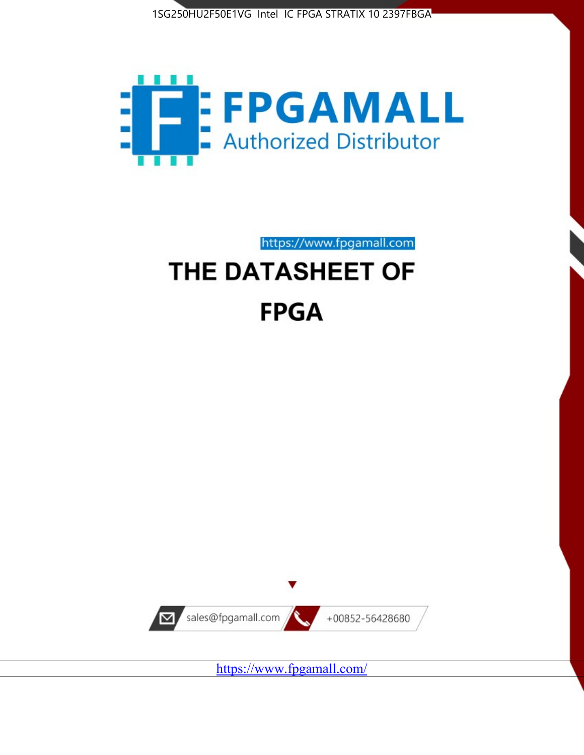



https://www.fpgamall.com

# THE DATASHEET OF **FPGA**



<https://www.fpgamall.com/>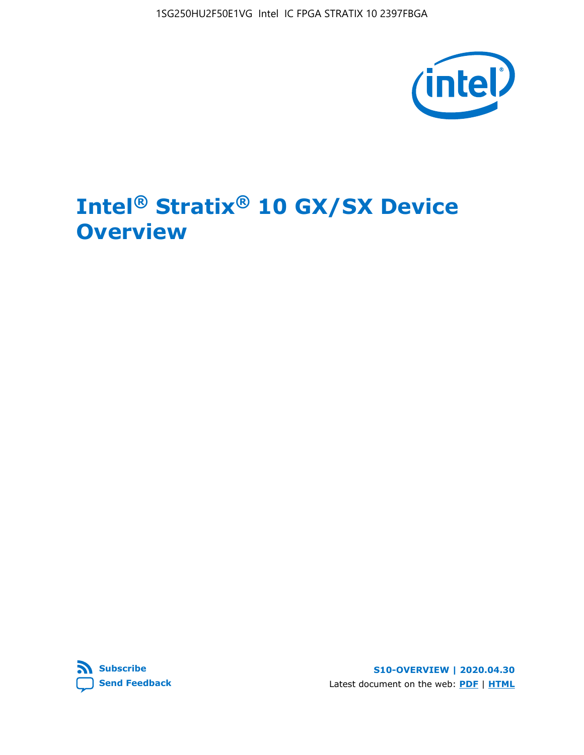1SG250HU2F50E1VG Intel IC FPGA STRATIX 10 2397FBGA



# **Intel® Stratix® 10 GX/SX Device Overview**



**S10-OVERVIEW | 2020.04.30** Latest document on the web: **[PDF](https://www.intel.com/content/dam/www/programmable/us/en/pdfs/literature/hb/stratix-10/s10-overview.pdf)** | **[HTML](https://www.intel.com/content/www/us/en/programmable/documentation/joc1442261161666.html)**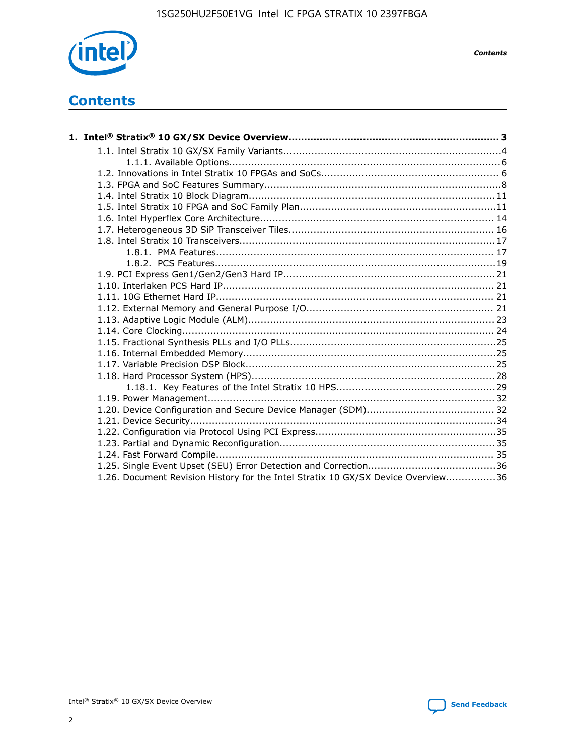

*Contents*

# **Contents**

| 1.26. Document Revision History for the Intel Stratix 10 GX/SX Device Overview36 |  |
|----------------------------------------------------------------------------------|--|

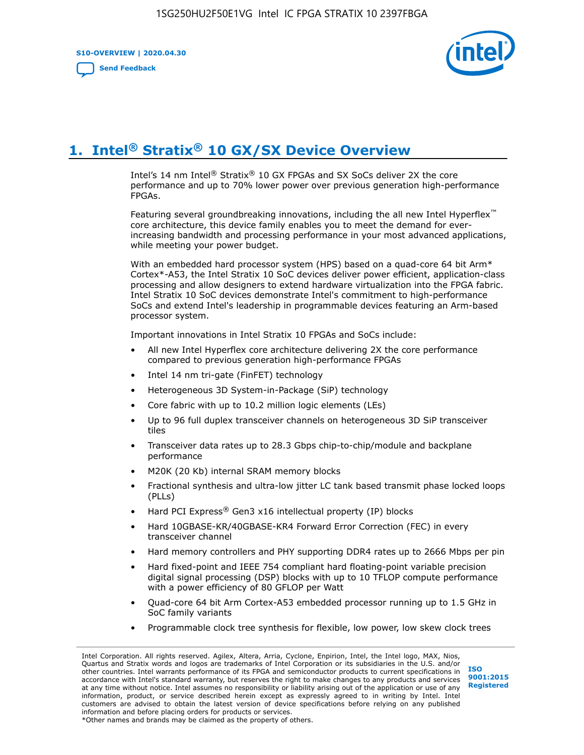**S10-OVERVIEW | 2020.04.30**

**[Send Feedback](mailto:FPGAtechdocfeedback@intel.com?subject=Feedback%20on%20Intel%20Stratix%2010%20GX/SX%20Device%20Overview%20(S10-OVERVIEW%202020.04.30)&body=We%20appreciate%20your%20feedback.%20In%20your%20comments,%20also%20specify%20the%20page%20number%20or%20paragraph.%20Thank%20you.)**



# **1. Intel® Stratix® 10 GX/SX Device Overview**

Intel's 14 nm Intel® Stratix® 10 GX FPGAs and SX SoCs deliver 2X the core performance and up to 70% lower power over previous generation high-performance FPGAs.

Featuring several groundbreaking innovations, including the all new Intel Hyperflex™ core architecture, this device family enables you to meet the demand for everincreasing bandwidth and processing performance in your most advanced applications, while meeting your power budget.

With an embedded hard processor system (HPS) based on a quad-core 64 bit Arm\* Cortex\*-A53, the Intel Stratix 10 SoC devices deliver power efficient, application-class processing and allow designers to extend hardware virtualization into the FPGA fabric. Intel Stratix 10 SoC devices demonstrate Intel's commitment to high-performance SoCs and extend Intel's leadership in programmable devices featuring an Arm-based processor system.

Important innovations in Intel Stratix 10 FPGAs and SoCs include:

- All new Intel Hyperflex core architecture delivering 2X the core performance compared to previous generation high-performance FPGAs
- Intel 14 nm tri-gate (FinFET) technology
- Heterogeneous 3D System-in-Package (SiP) technology
- Core fabric with up to 10.2 million logic elements (LEs)
- Up to 96 full duplex transceiver channels on heterogeneous 3D SiP transceiver tiles
- Transceiver data rates up to 28.3 Gbps chip-to-chip/module and backplane performance
- M20K (20 Kb) internal SRAM memory blocks
- Fractional synthesis and ultra-low jitter LC tank based transmit phase locked loops (PLLs)
- Hard PCI Express<sup>®</sup> Gen3 x16 intellectual property (IP) blocks
- Hard 10GBASE-KR/40GBASE-KR4 Forward Error Correction (FEC) in every transceiver channel
- Hard memory controllers and PHY supporting DDR4 rates up to 2666 Mbps per pin
- Hard fixed-point and IEEE 754 compliant hard floating-point variable precision digital signal processing (DSP) blocks with up to 10 TFLOP compute performance with a power efficiency of 80 GFLOP per Watt
- Quad-core 64 bit Arm Cortex-A53 embedded processor running up to 1.5 GHz in SoC family variants
- Programmable clock tree synthesis for flexible, low power, low skew clock trees

Intel Corporation. All rights reserved. Agilex, Altera, Arria, Cyclone, Enpirion, Intel, the Intel logo, MAX, Nios, Quartus and Stratix words and logos are trademarks of Intel Corporation or its subsidiaries in the U.S. and/or other countries. Intel warrants performance of its FPGA and semiconductor products to current specifications in accordance with Intel's standard warranty, but reserves the right to make changes to any products and services at any time without notice. Intel assumes no responsibility or liability arising out of the application or use of any information, product, or service described herein except as expressly agreed to in writing by Intel. Intel customers are advised to obtain the latest version of device specifications before relying on any published information and before placing orders for products or services. \*Other names and brands may be claimed as the property of others.

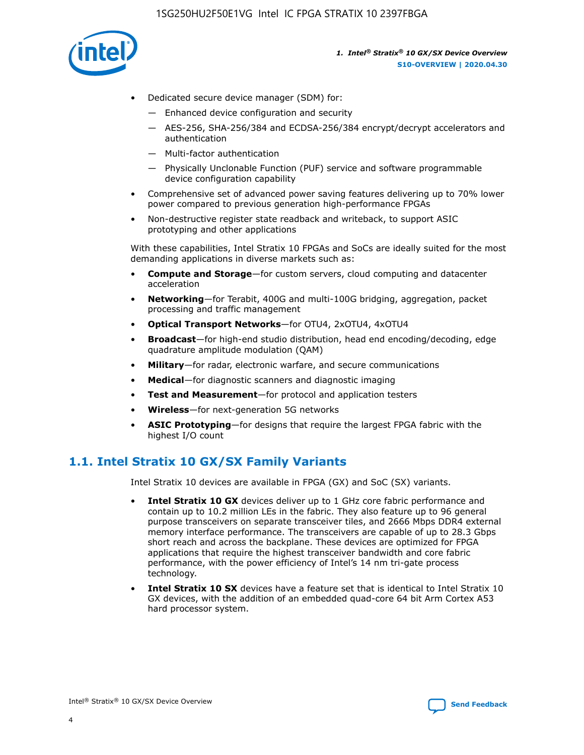

- Dedicated secure device manager (SDM) for:
	- Enhanced device configuration and security
	- AES-256, SHA-256/384 and ECDSA-256/384 encrypt/decrypt accelerators and authentication
	- Multi-factor authentication
	- Physically Unclonable Function (PUF) service and software programmable device configuration capability
- Comprehensive set of advanced power saving features delivering up to 70% lower power compared to previous generation high-performance FPGAs
- Non-destructive register state readback and writeback, to support ASIC prototyping and other applications

With these capabilities, Intel Stratix 10 FPGAs and SoCs are ideally suited for the most demanding applications in diverse markets such as:

- **Compute and Storage**—for custom servers, cloud computing and datacenter acceleration
- **Networking**—for Terabit, 400G and multi-100G bridging, aggregation, packet processing and traffic management
- **Optical Transport Networks**—for OTU4, 2xOTU4, 4xOTU4
- **Broadcast**—for high-end studio distribution, head end encoding/decoding, edge quadrature amplitude modulation (QAM)
- **Military**—for radar, electronic warfare, and secure communications
- **Medical**—for diagnostic scanners and diagnostic imaging
- **Test and Measurement**—for protocol and application testers
- **Wireless**—for next-generation 5G networks
- **ASIC Prototyping**—for designs that require the largest FPGA fabric with the highest I/O count

# **1.1. Intel Stratix 10 GX/SX Family Variants**

Intel Stratix 10 devices are available in FPGA (GX) and SoC (SX) variants.

- **Intel Stratix 10 GX** devices deliver up to 1 GHz core fabric performance and contain up to 10.2 million LEs in the fabric. They also feature up to 96 general purpose transceivers on separate transceiver tiles, and 2666 Mbps DDR4 external memory interface performance. The transceivers are capable of up to 28.3 Gbps short reach and across the backplane. These devices are optimized for FPGA applications that require the highest transceiver bandwidth and core fabric performance, with the power efficiency of Intel's 14 nm tri-gate process technology.
- **Intel Stratix 10 SX** devices have a feature set that is identical to Intel Stratix 10 GX devices, with the addition of an embedded quad-core 64 bit Arm Cortex A53 hard processor system.

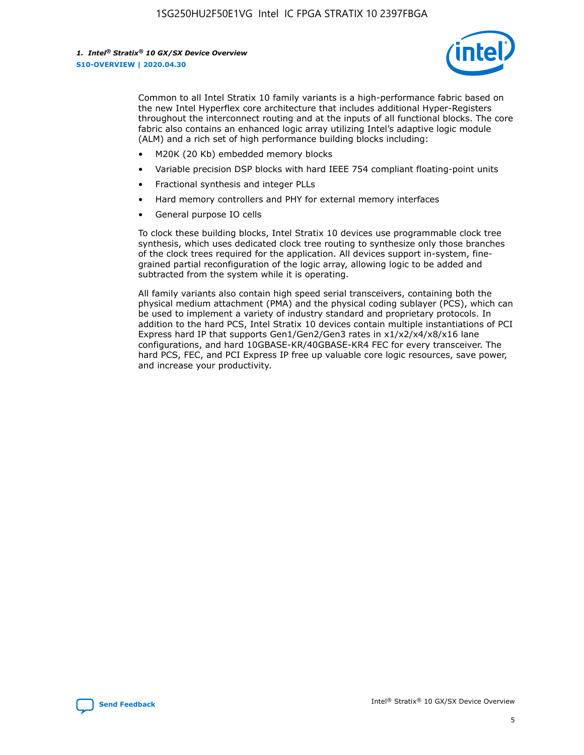

Common to all Intel Stratix 10 family variants is a high-performance fabric based on the new Intel Hyperflex core architecture that includes additional Hyper-Registers throughout the interconnect routing and at the inputs of all functional blocks. The core fabric also contains an enhanced logic array utilizing Intel's adaptive logic module (ALM) and a rich set of high performance building blocks including:

- M20K (20 Kb) embedded memory blocks
- Variable precision DSP blocks with hard IEEE 754 compliant floating-point units
- Fractional synthesis and integer PLLs
- Hard memory controllers and PHY for external memory interfaces
- General purpose IO cells

To clock these building blocks, Intel Stratix 10 devices use programmable clock tree synthesis, which uses dedicated clock tree routing to synthesize only those branches of the clock trees required for the application. All devices support in-system, finegrained partial reconfiguration of the logic array, allowing logic to be added and subtracted from the system while it is operating.

All family variants also contain high speed serial transceivers, containing both the physical medium attachment (PMA) and the physical coding sublayer (PCS), which can be used to implement a variety of industry standard and proprietary protocols. In addition to the hard PCS, Intel Stratix 10 devices contain multiple instantiations of PCI Express hard IP that supports Gen1/Gen2/Gen3 rates in x1/x2/x4/x8/x16 lane configurations, and hard 10GBASE-KR/40GBASE-KR4 FEC for every transceiver. The hard PCS, FEC, and PCI Express IP free up valuable core logic resources, save power, and increase your productivity.

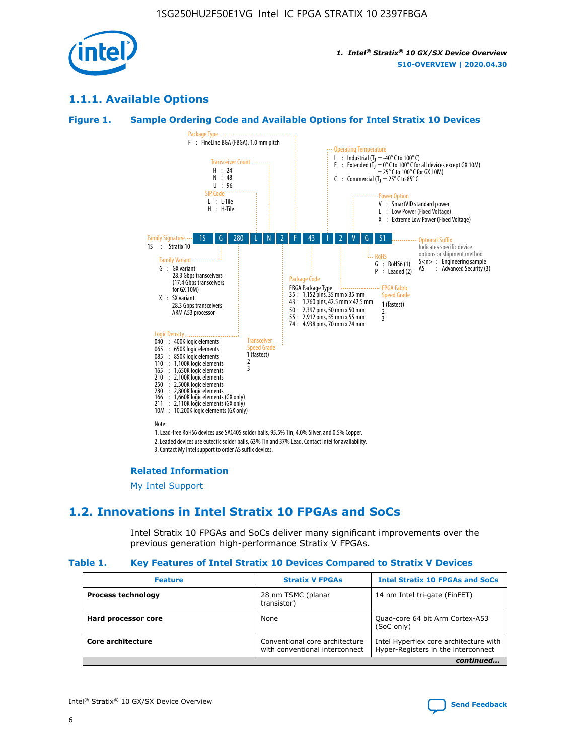

# **1.1.1. Available Options**

#### **Figure 1. Sample Ordering Code and Available Options for Intel Stratix 10 Devices**



# **Related Information**

[My Intel Support](https://www.intel.com/content/www/us/en/programmable/my-intel/mal-home.html)

# **1.2. Innovations in Intel Stratix 10 FPGAs and SoCs**

Intel Stratix 10 FPGAs and SoCs deliver many significant improvements over the previous generation high-performance Stratix V FPGAs.

#### **Table 1. Key Features of Intel Stratix 10 Devices Compared to Stratix V Devices**

| <b>Feature</b>            | <b>Stratix V FPGAs</b>                                           | <b>Intel Stratix 10 FPGAs and SoCs</b>                                        |
|---------------------------|------------------------------------------------------------------|-------------------------------------------------------------------------------|
| <b>Process technology</b> | 28 nm TSMC (planar<br>transistor)                                | 14 nm Intel tri-gate (FinFET)                                                 |
| Hard processor core       | None                                                             | Quad-core 64 bit Arm Cortex-A53<br>(SoC only)                                 |
| Core architecture         | Conventional core architecture<br>with conventional interconnect | Intel Hyperflex core architecture with<br>Hyper-Registers in the interconnect |
|                           |                                                                  | continued                                                                     |

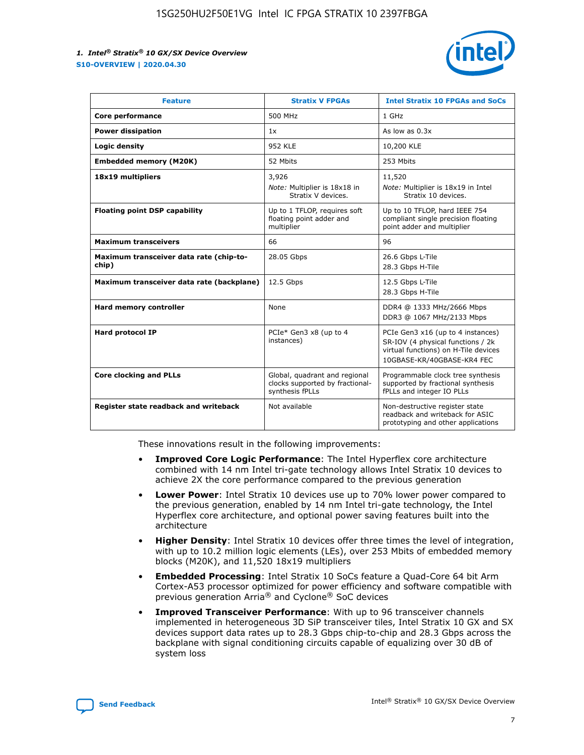

| <b>Feature</b>                                   | <b>Stratix V FPGAs</b>                                                              | <b>Intel Stratix 10 FPGAs and SoCs</b>                                                                                                       |
|--------------------------------------------------|-------------------------------------------------------------------------------------|----------------------------------------------------------------------------------------------------------------------------------------------|
| Core performance                                 | 500 MHz                                                                             | 1 GHz                                                                                                                                        |
| <b>Power dissipation</b>                         | 1x                                                                                  | As low as $0.3x$                                                                                                                             |
| Logic density                                    | <b>952 KLE</b>                                                                      | 10,200 KLE                                                                                                                                   |
| <b>Embedded memory (M20K)</b>                    | 52 Mbits                                                                            | 253 Mbits                                                                                                                                    |
| 18x19 multipliers                                | 3,926                                                                               | 11,520                                                                                                                                       |
|                                                  | Note: Multiplier is 18x18 in<br>Stratix V devices.                                  | Note: Multiplier is 18x19 in Intel<br>Stratix 10 devices.                                                                                    |
| <b>Floating point DSP capability</b>             | Up to 1 TFLOP, requires soft<br>floating point adder and<br>multiplier              | Up to 10 TFLOP, hard IEEE 754<br>compliant single precision floating<br>point adder and multiplier                                           |
| <b>Maximum transceivers</b>                      | 66                                                                                  | 96                                                                                                                                           |
| Maximum transceiver data rate (chip-to-<br>chip) | 28.05 Gbps                                                                          | 26.6 Gbps L-Tile<br>28.3 Gbps H-Tile                                                                                                         |
| Maximum transceiver data rate (backplane)        | 12.5 Gbps                                                                           | 12.5 Gbps L-Tile<br>28.3 Gbps H-Tile                                                                                                         |
| Hard memory controller                           | None                                                                                | DDR4 @ 1333 MHz/2666 Mbps<br>DDR3 @ 1067 MHz/2133 Mbps                                                                                       |
| <b>Hard protocol IP</b>                          | PCIe* Gen3 x8 (up to 4<br>instances)                                                | PCIe Gen3 x16 (up to 4 instances)<br>SR-IOV (4 physical functions / 2k<br>virtual functions) on H-Tile devices<br>10GBASE-KR/40GBASE-KR4 FEC |
| <b>Core clocking and PLLs</b>                    | Global, quadrant and regional<br>clocks supported by fractional-<br>synthesis fPLLs | Programmable clock tree synthesis<br>supported by fractional synthesis<br>fPLLs and integer IO PLLs                                          |
| Register state readback and writeback            | Not available                                                                       | Non-destructive register state<br>readback and writeback for ASIC<br>prototyping and other applications                                      |

These innovations result in the following improvements:

- **Improved Core Logic Performance**: The Intel Hyperflex core architecture combined with 14 nm Intel tri-gate technology allows Intel Stratix 10 devices to achieve 2X the core performance compared to the previous generation
- **Lower Power**: Intel Stratix 10 devices use up to 70% lower power compared to the previous generation, enabled by 14 nm Intel tri-gate technology, the Intel Hyperflex core architecture, and optional power saving features built into the architecture
- **Higher Density**: Intel Stratix 10 devices offer three times the level of integration, with up to 10.2 million logic elements (LEs), over 253 Mbits of embedded memory blocks (M20K), and 11,520 18x19 multipliers
- **Embedded Processing**: Intel Stratix 10 SoCs feature a Quad-Core 64 bit Arm Cortex-A53 processor optimized for power efficiency and software compatible with previous generation Arria® and Cyclone® SoC devices
- **Improved Transceiver Performance**: With up to 96 transceiver channels implemented in heterogeneous 3D SiP transceiver tiles, Intel Stratix 10 GX and SX devices support data rates up to 28.3 Gbps chip-to-chip and 28.3 Gbps across the backplane with signal conditioning circuits capable of equalizing over 30 dB of system loss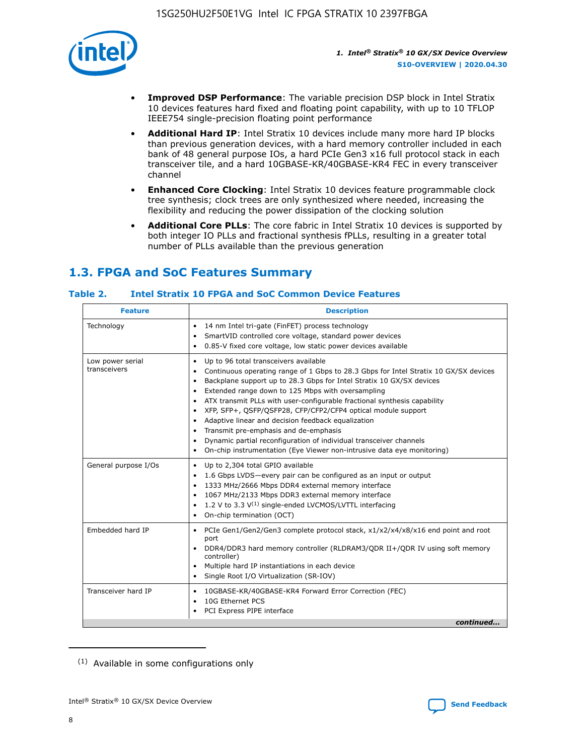

- **Improved DSP Performance**: The variable precision DSP block in Intel Stratix 10 devices features hard fixed and floating point capability, with up to 10 TFLOP IEEE754 single-precision floating point performance
- **Additional Hard IP**: Intel Stratix 10 devices include many more hard IP blocks than previous generation devices, with a hard memory controller included in each bank of 48 general purpose IOs, a hard PCIe Gen3 x16 full protocol stack in each transceiver tile, and a hard 10GBASE-KR/40GBASE-KR4 FEC in every transceiver channel
- **Enhanced Core Clocking**: Intel Stratix 10 devices feature programmable clock tree synthesis; clock trees are only synthesized where needed, increasing the flexibility and reducing the power dissipation of the clocking solution
- **Additional Core PLLs**: The core fabric in Intel Stratix 10 devices is supported by both integer IO PLLs and fractional synthesis fPLLs, resulting in a greater total number of PLLs available than the previous generation

# **1.3. FPGA and SoC Features Summary**

#### **Table 2. Intel Stratix 10 FPGA and SoC Common Device Features**

| <b>Feature</b>                   | <b>Description</b>                                                                                                                                                                                                                                                                                                                                                                                                                                                                                                                                                                                                                                                                                                                                   |
|----------------------------------|------------------------------------------------------------------------------------------------------------------------------------------------------------------------------------------------------------------------------------------------------------------------------------------------------------------------------------------------------------------------------------------------------------------------------------------------------------------------------------------------------------------------------------------------------------------------------------------------------------------------------------------------------------------------------------------------------------------------------------------------------|
| Technology                       | 14 nm Intel tri-gate (FinFET) process technology<br>٠<br>SmartVID controlled core voltage, standard power devices<br>0.85-V fixed core voltage, low static power devices available                                                                                                                                                                                                                                                                                                                                                                                                                                                                                                                                                                   |
| Low power serial<br>transceivers | Up to 96 total transceivers available<br>$\bullet$<br>Continuous operating range of 1 Gbps to 28.3 Gbps for Intel Stratix 10 GX/SX devices<br>$\bullet$<br>Backplane support up to 28.3 Gbps for Intel Stratix 10 GX/SX devices<br>$\bullet$<br>Extended range down to 125 Mbps with oversampling<br>$\bullet$<br>ATX transmit PLLs with user-configurable fractional synthesis capability<br>$\bullet$<br>• XFP, SFP+, OSFP/OSFP28, CFP/CFP2/CFP4 optical module support<br>• Adaptive linear and decision feedback equalization<br>Transmit pre-emphasis and de-emphasis<br>Dynamic partial reconfiguration of individual transceiver channels<br>$\bullet$<br>On-chip instrumentation (Eye Viewer non-intrusive data eye monitoring)<br>$\bullet$ |
| General purpose I/Os             | Up to 2,304 total GPIO available<br>$\bullet$<br>1.6 Gbps LVDS-every pair can be configured as an input or output<br>$\bullet$<br>1333 MHz/2666 Mbps DDR4 external memory interface<br>1067 MHz/2133 Mbps DDR3 external memory interface<br>1.2 V to 3.3 $V^{(1)}$ single-ended LVCMOS/LVTTL interfacing<br>$\bullet$<br>On-chip termination (OCT)<br>$\bullet$                                                                                                                                                                                                                                                                                                                                                                                      |
| Embedded hard IP                 | • PCIe Gen1/Gen2/Gen3 complete protocol stack, $x1/x2/x4/x8/x16$ end point and root<br>port<br>DDR4/DDR3 hard memory controller (RLDRAM3/QDR II+/QDR IV using soft memory<br>controller)<br>Multiple hard IP instantiations in each device<br>$\bullet$<br>• Single Root I/O Virtualization (SR-IOV)                                                                                                                                                                                                                                                                                                                                                                                                                                                 |
| Transceiver hard IP              | 10GBASE-KR/40GBASE-KR4 Forward Error Correction (FEC)<br>$\bullet$<br>10G Ethernet PCS<br>$\bullet$<br>• PCI Express PIPE interface<br>continued                                                                                                                                                                                                                                                                                                                                                                                                                                                                                                                                                                                                     |

<sup>(1)</sup> Available in some configurations only

8

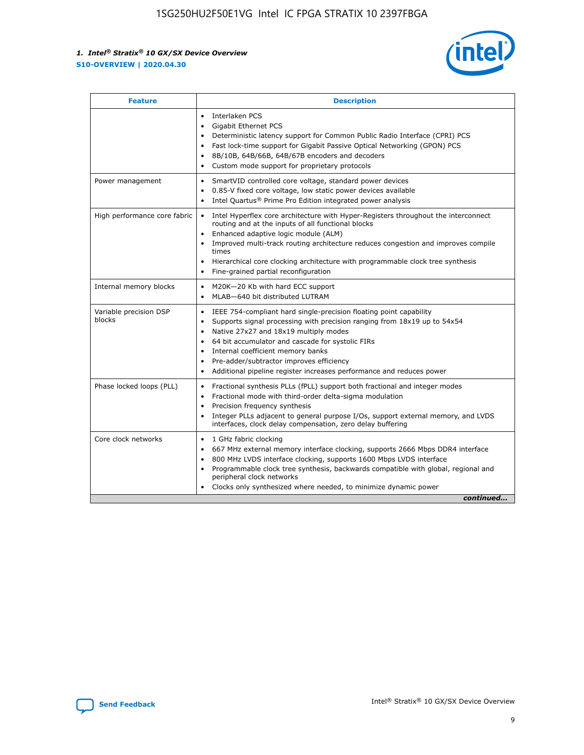

| <b>Feature</b>                   | <b>Description</b>                                                                                                                                                                                                                                                                                                                                                                                                                                                    |
|----------------------------------|-----------------------------------------------------------------------------------------------------------------------------------------------------------------------------------------------------------------------------------------------------------------------------------------------------------------------------------------------------------------------------------------------------------------------------------------------------------------------|
|                                  | Interlaken PCS<br>$\bullet$<br>Gigabit Ethernet PCS<br>$\bullet$<br>Deterministic latency support for Common Public Radio Interface (CPRI) PCS<br>$\bullet$<br>Fast lock-time support for Gigabit Passive Optical Networking (GPON) PCS<br>$\bullet$<br>8B/10B, 64B/66B, 64B/67B encoders and decoders<br>$\bullet$<br>Custom mode support for proprietary protocols<br>$\bullet$                                                                                     |
| Power management                 | SmartVID controlled core voltage, standard power devices<br>$\bullet$<br>0.85-V fixed core voltage, low static power devices available<br>$\bullet$<br>Intel Quartus <sup>®</sup> Prime Pro Edition integrated power analysis<br>$\bullet$                                                                                                                                                                                                                            |
| High performance core fabric     | Intel Hyperflex core architecture with Hyper-Registers throughout the interconnect<br>$\bullet$<br>routing and at the inputs of all functional blocks<br>Enhanced adaptive logic module (ALM)<br>$\bullet$<br>Improved multi-track routing architecture reduces congestion and improves compile<br>times<br>Hierarchical core clocking architecture with programmable clock tree synthesis<br>Fine-grained partial reconfiguration                                    |
| Internal memory blocks           | M20K-20 Kb with hard ECC support<br>٠<br>MLAB-640 bit distributed LUTRAM<br>$\bullet$                                                                                                                                                                                                                                                                                                                                                                                 |
| Variable precision DSP<br>blocks | IEEE 754-compliant hard single-precision floating point capability<br>$\bullet$<br>Supports signal processing with precision ranging from 18x19 up to 54x54<br>$\bullet$<br>Native 27x27 and 18x19 multiply modes<br>$\bullet$<br>64 bit accumulator and cascade for systolic FIRs<br>Internal coefficient memory banks<br>Pre-adder/subtractor improves efficiency<br>$\bullet$<br>Additional pipeline register increases performance and reduces power<br>$\bullet$ |
| Phase locked loops (PLL)         | Fractional synthesis PLLs (fPLL) support both fractional and integer modes<br>$\bullet$<br>Fractional mode with third-order delta-sigma modulation<br>Precision frequency synthesis<br>$\bullet$<br>Integer PLLs adjacent to general purpose I/Os, support external memory, and LVDS<br>$\bullet$<br>interfaces, clock delay compensation, zero delay buffering                                                                                                       |
| Core clock networks              | 1 GHz fabric clocking<br>$\bullet$<br>667 MHz external memory interface clocking, supports 2666 Mbps DDR4 interface<br>$\bullet$<br>800 MHz LVDS interface clocking, supports 1600 Mbps LVDS interface<br>$\bullet$<br>Programmable clock tree synthesis, backwards compatible with global, regional and<br>$\bullet$<br>peripheral clock networks<br>Clocks only synthesized where needed, to minimize dynamic power<br>continued                                    |

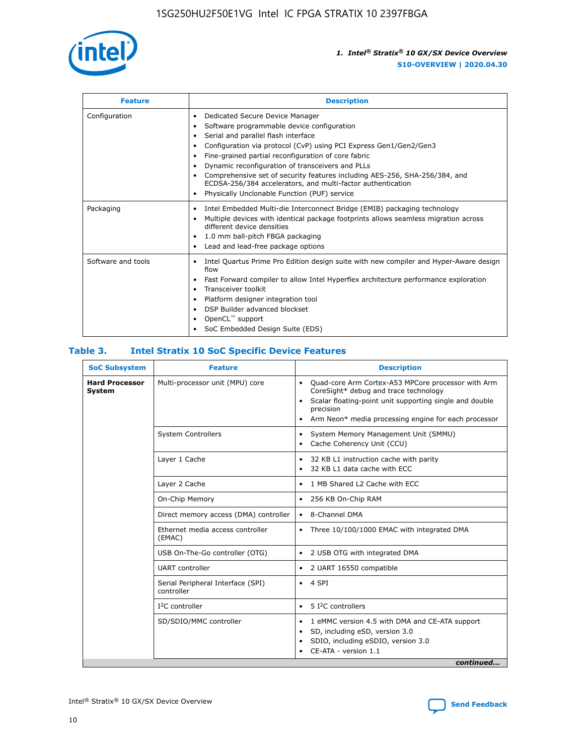

| <b>Feature</b>     | <b>Description</b>                                                                                                                                                                                                                                                                                                                                                                                                                                                                                                                                                   |
|--------------------|----------------------------------------------------------------------------------------------------------------------------------------------------------------------------------------------------------------------------------------------------------------------------------------------------------------------------------------------------------------------------------------------------------------------------------------------------------------------------------------------------------------------------------------------------------------------|
| Configuration      | Dedicated Secure Device Manager<br>$\bullet$<br>Software programmable device configuration<br>٠<br>Serial and parallel flash interface<br>٠<br>Configuration via protocol (CvP) using PCI Express Gen1/Gen2/Gen3<br>٠<br>Fine-grained partial reconfiguration of core fabric<br>$\bullet$<br>Dynamic reconfiguration of transceivers and PLLs<br>$\bullet$<br>Comprehensive set of security features including AES-256, SHA-256/384, and<br>ECDSA-256/384 accelerators, and multi-factor authentication<br>Physically Unclonable Function (PUF) service<br>$\bullet$ |
| Packaging          | Intel Embedded Multi-die Interconnect Bridge (EMIB) packaging technology<br>٠<br>Multiple devices with identical package footprints allows seamless migration across<br>$\bullet$<br>different device densities<br>1.0 mm ball-pitch FBGA packaging<br>$\bullet$<br>Lead and lead-free package options                                                                                                                                                                                                                                                               |
| Software and tools | Intel Quartus Prime Pro Edition design suite with new compiler and Hyper-Aware design<br>flow<br>Fast Forward compiler to allow Intel Hyperflex architecture performance exploration<br>$\bullet$<br>Transceiver toolkit<br>$\bullet$<br>Platform designer integration tool<br>DSP Builder advanced blockset<br>OpenCL <sup>™</sup> support<br>SoC Embedded Design Suite (EDS)                                                                                                                                                                                       |

#### **Table 3. Intel Stratix 10 SoC Specific Device Features**

| <b>SoC Subsystem</b>            | <b>Feature</b>                                  | <b>Description</b>                                                                                                                                                                                                                                         |
|---------------------------------|-------------------------------------------------|------------------------------------------------------------------------------------------------------------------------------------------------------------------------------------------------------------------------------------------------------------|
| <b>Hard Processor</b><br>System | Multi-processor unit (MPU) core                 | Quad-core Arm Cortex-A53 MPCore processor with Arm<br>$\bullet$<br>CoreSight* debug and trace technology<br>Scalar floating-point unit supporting single and double<br>٠<br>precision<br>Arm Neon* media processing engine for each processor<br>$\bullet$ |
|                                 | <b>System Controllers</b>                       | System Memory Management Unit (SMMU)<br>٠<br>Cache Coherency Unit (CCU)<br>٠                                                                                                                                                                               |
|                                 | Layer 1 Cache                                   | 32 KB L1 instruction cache with parity<br>$\bullet$<br>32 KB L1 data cache with ECC<br>$\bullet$                                                                                                                                                           |
|                                 | Layer 2 Cache                                   | 1 MB Shared L2 Cache with ECC<br>$\bullet$                                                                                                                                                                                                                 |
|                                 | On-Chip Memory                                  | 256 KB On-Chip RAM<br>$\bullet$                                                                                                                                                                                                                            |
|                                 | Direct memory access (DMA) controller           | • 8-Channel DMA                                                                                                                                                                                                                                            |
|                                 | Ethernet media access controller<br>(EMAC)      | Three 10/100/1000 EMAC with integrated DMA<br>$\bullet$                                                                                                                                                                                                    |
|                                 | USB On-The-Go controller (OTG)                  | 2 USB OTG with integrated DMA<br>$\bullet$                                                                                                                                                                                                                 |
|                                 | <b>UART</b> controller                          | 2 UART 16550 compatible<br>$\bullet$                                                                                                                                                                                                                       |
|                                 | Serial Peripheral Interface (SPI)<br>controller | $\bullet$ 4 SPI                                                                                                                                                                                                                                            |
|                                 | $I2C$ controller                                | 5 <sup>2</sup> C controllers                                                                                                                                                                                                                               |
|                                 | SD/SDIO/MMC controller                          | 1 eMMC version 4.5 with DMA and CE-ATA support<br>$\bullet$<br>SD, including eSD, version 3.0<br>٠<br>SDIO, including eSDIO, version 3.0<br>$\bullet$<br>CE-ATA - version 1.1<br>continued                                                                 |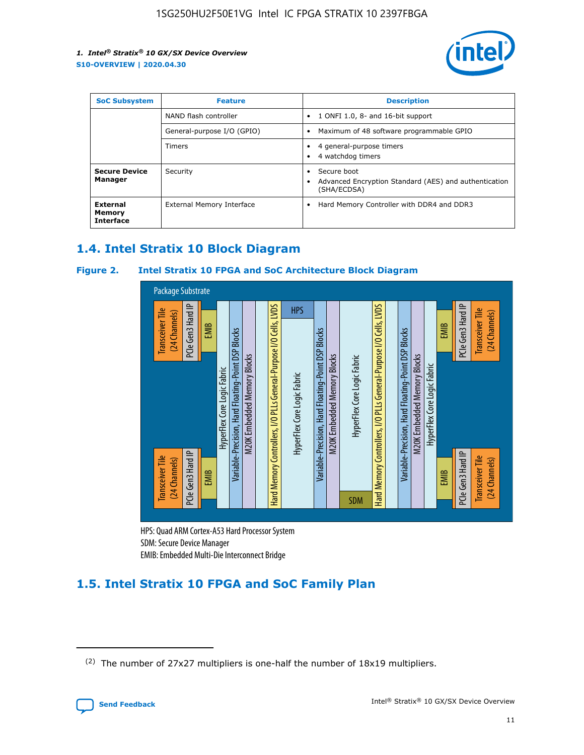

| <b>SoC Subsystem</b>                   | <b>Feature</b>             | <b>Description</b>                                                                                    |  |  |
|----------------------------------------|----------------------------|-------------------------------------------------------------------------------------------------------|--|--|
|                                        | NAND flash controller      | 1 ONFI 1.0, 8- and 16-bit support<br>$\bullet$                                                        |  |  |
|                                        | General-purpose I/O (GPIO) | Maximum of 48 software programmable GPIO<br>$\bullet$                                                 |  |  |
|                                        | Timers                     | 4 general-purpose timers<br>4 watchdog timers<br>٠                                                    |  |  |
| <b>Secure Device</b><br>Manager        | Security                   | Secure boot<br>$\bullet$<br>Advanced Encryption Standard (AES) and authentication<br>٠<br>(SHA/ECDSA) |  |  |
| External<br>Memory<br><b>Interface</b> | External Memory Interface  | Hard Memory Controller with DDR4 and DDR3<br>$\bullet$                                                |  |  |

# **1.4. Intel Stratix 10 Block Diagram**

#### **Figure 2. Intel Stratix 10 FPGA and SoC Architecture Block Diagram**



HPS: Quad ARM Cortex-A53 Hard Processor System SDM: Secure Device Manager

# **1.5. Intel Stratix 10 FPGA and SoC Family Plan**

<sup>(2)</sup> The number of 27x27 multipliers is one-half the number of 18x19 multipliers.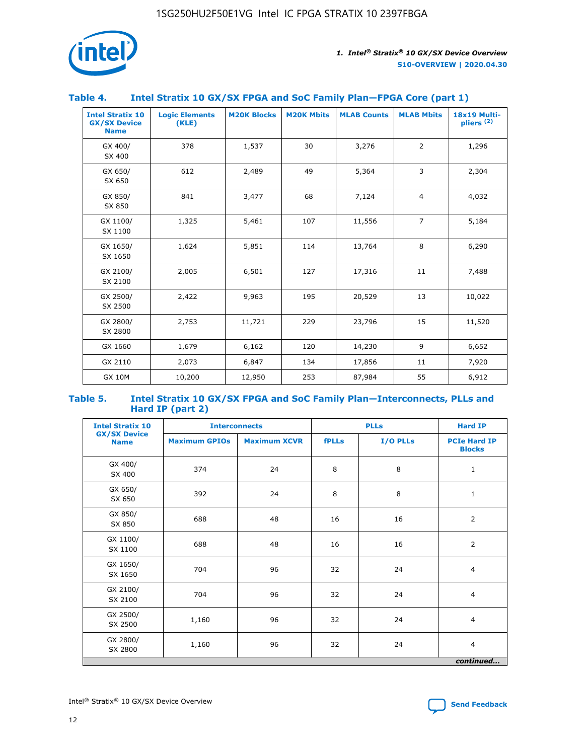

#### **Table 4. Intel Stratix 10 GX/SX FPGA and SoC Family Plan—FPGA Core (part 1)**

| <b>Intel Stratix 10</b><br><b>GX/SX Device</b><br><b>Name</b> | <b>Logic Elements</b><br>(KLE) | <b>M20K Blocks</b> | <b>M20K Mbits</b> | <b>MLAB Counts</b> | <b>MLAB Mbits</b> | <b>18x19 Multi-</b><br>pliers <sup>(2)</sup> |
|---------------------------------------------------------------|--------------------------------|--------------------|-------------------|--------------------|-------------------|----------------------------------------------|
| GX 400/<br>SX 400                                             | 378                            | 1,537              | 30                | 3,276              | 2                 | 1,296                                        |
| GX 650/<br>SX 650                                             | 612                            | 2,489              | 49                | 5,364              | 3                 | 2,304                                        |
| GX 850/<br>SX 850                                             | 841                            | 3,477              | 68                | 7,124              | $\overline{4}$    | 4,032                                        |
| GX 1100/<br>SX 1100                                           | 1,325                          | 5,461              | 107               | 11,556             | $\overline{7}$    | 5,184                                        |
| GX 1650/<br>SX 1650                                           | 1,624                          | 5,851              | 114               | 13,764             | 8                 | 6,290                                        |
| GX 2100/<br>SX 2100                                           | 2,005                          | 6,501              | 127               | 17,316             | 11                | 7,488                                        |
| GX 2500/<br>SX 2500                                           | 2,422                          | 9,963              | 195               | 20,529             | 13                | 10,022                                       |
| GX 2800/<br>SX 2800                                           | 2,753                          | 11,721             | 229               | 23,796             | 15                | 11,520                                       |
| GX 1660                                                       | 1,679                          | 6,162              | 120               | 14,230             | 9                 | 6,652                                        |
| GX 2110                                                       | 2,073                          | 6,847              | 134               | 17,856             | 11                | 7,920                                        |
| <b>GX 10M</b>                                                 | 10,200                         | 12,950             | 253               | 87,984             | 55                | 6,912                                        |

#### **Table 5. Intel Stratix 10 GX/SX FPGA and SoC Family Plan—Interconnects, PLLs and Hard IP (part 2)**

| <b>Intel Stratix 10</b>            |                      | <b>Interconnects</b> |              | <b>PLLs</b> | <b>Hard IP</b>                       |  |
|------------------------------------|----------------------|----------------------|--------------|-------------|--------------------------------------|--|
| <b>GX/SX Device</b><br><b>Name</b> | <b>Maximum GPIOs</b> | <b>Maximum XCVR</b>  | <b>fPLLs</b> | I/O PLLs    | <b>PCIe Hard IP</b><br><b>Blocks</b> |  |
| GX 400/<br>SX 400                  | 374                  | 24                   | 8            | 8           | $\mathbf{1}$                         |  |
| GX 650/<br>SX 650                  | 392                  | 24                   | 8            | 8           | $\mathbf{1}$                         |  |
| GX 850/<br>SX 850                  | 688                  | 48                   | 16           | 16          | 2                                    |  |
| GX 1100/<br>SX 1100                | 688                  | 48                   | 16           | 16          | 2                                    |  |
| GX 1650/<br>SX 1650                | 704                  | 96                   | 32           | 24          | $\overline{4}$                       |  |
| GX 2100/<br>SX 2100                | 704                  | 96                   | 32           | 24          | $\overline{4}$                       |  |
| GX 2500/<br>SX 2500                | 1,160                | 96                   | 32           | 24          | $\overline{4}$                       |  |
| GX 2800/<br>SX 2800                | 1,160                | 96                   | 32           | 24          | $\overline{4}$                       |  |
| continued                          |                      |                      |              |             |                                      |  |

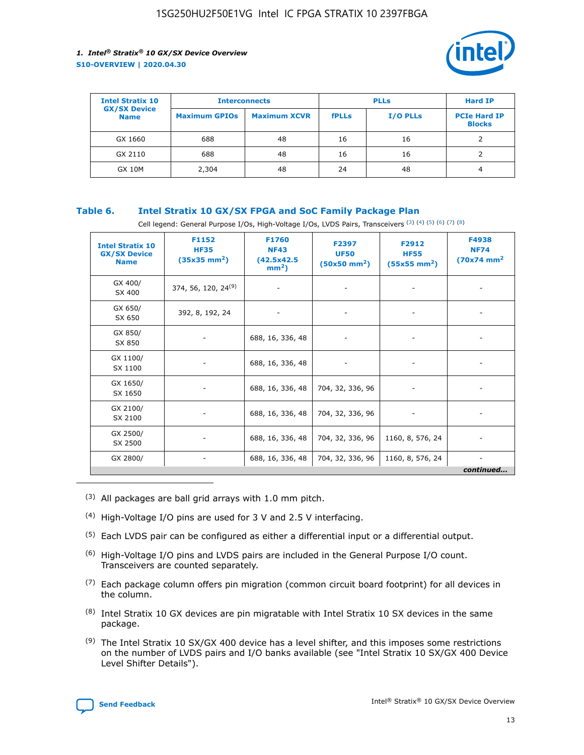

| <b>Intel Stratix 10</b>            | <b>Interconnects</b> |                     | <b>PLLs</b>  |                 | <b>Hard IP</b>                       |
|------------------------------------|----------------------|---------------------|--------------|-----------------|--------------------------------------|
| <b>GX/SX Device</b><br><b>Name</b> | <b>Maximum GPIOs</b> | <b>Maximum XCVR</b> | <b>fPLLs</b> | <b>I/O PLLs</b> | <b>PCIe Hard IP</b><br><b>Blocks</b> |
| GX 1660                            | 688                  | 48                  | 16           | 16              |                                      |
| GX 2110                            | 688                  | 48                  | 16           | 16              |                                      |
| <b>GX 10M</b>                      | 2,304                | 48                  | 24           | 48              | 4                                    |

#### **Table 6. Intel Stratix 10 GX/SX FPGA and SoC Family Package Plan**

Cell legend: General Purpose I/Os, High-Voltage I/Os, LVDS Pairs, Transceivers (3) (4) (5) (6) (7) (8)

| <b>Intel Stratix 10</b><br><b>GX/SX Device</b><br><b>Name</b> | F1152<br><b>HF35</b><br>$(35x35 \text{ mm}^2)$ | F1760<br><b>NF43</b><br>(42.5x42.5<br>$mm2$ ) | F2397<br><b>UF50</b><br>$(50x50 \text{ mm}^2)$ | F2912<br><b>HF55</b><br>$(55x55$ mm <sup>2</sup> ) | F4938<br><b>NF74</b><br>$(70x74)$ mm <sup>2</sup> |
|---------------------------------------------------------------|------------------------------------------------|-----------------------------------------------|------------------------------------------------|----------------------------------------------------|---------------------------------------------------|
| GX 400/<br>SX 400                                             | 374, 56, 120, 24 <sup>(9)</sup>                | $\overline{\phantom{a}}$                      | $\overline{\phantom{a}}$                       | ۰                                                  |                                                   |
| GX 650/<br>SX 650                                             | 392, 8, 192, 24<br>$\overline{\phantom{a}}$    |                                               | $\overline{\phantom{a}}$                       |                                                    |                                                   |
| GX 850/<br>SX 850                                             | ۰.                                             | 688, 16, 336, 48                              |                                                |                                                    |                                                   |
| GX 1100/<br>SX 1100                                           |                                                | 688, 16, 336, 48                              |                                                |                                                    |                                                   |
| GX 1650/<br>SX 1650                                           |                                                | 688, 16, 336, 48                              | 704, 32, 336, 96                               |                                                    |                                                   |
| GX 2100/<br>SX 2100                                           | -                                              | 688, 16, 336, 48                              | 704, 32, 336, 96                               | $\overline{\phantom{a}}$                           |                                                   |
| GX 2500/<br>SX 2500                                           |                                                | 688, 16, 336, 48                              | 704, 32, 336, 96                               | 1160, 8, 576, 24                                   |                                                   |
| GX 2800/                                                      | -                                              | 688, 16, 336, 48                              | 704, 32, 336, 96                               | 1160, 8, 576, 24                                   | $\overline{\phantom{a}}$<br>continued             |

- (3) All packages are ball grid arrays with 1.0 mm pitch.
- (4) High-Voltage I/O pins are used for 3 V and 2.5 V interfacing.
- $(5)$  Each LVDS pair can be configured as either a differential input or a differential output.
- (6) High-Voltage I/O pins and LVDS pairs are included in the General Purpose I/O count. Transceivers are counted separately.
- $(7)$  Each package column offers pin migration (common circuit board footprint) for all devices in the column.
- $(8)$  Intel Stratix 10 GX devices are pin migratable with Intel Stratix 10 SX devices in the same package.
- $(9)$  The Intel Stratix 10 SX/GX 400 device has a level shifter, and this imposes some restrictions on the number of LVDS pairs and I/O banks available (see "Intel Stratix 10 SX/GX 400 Device Level Shifter Details").

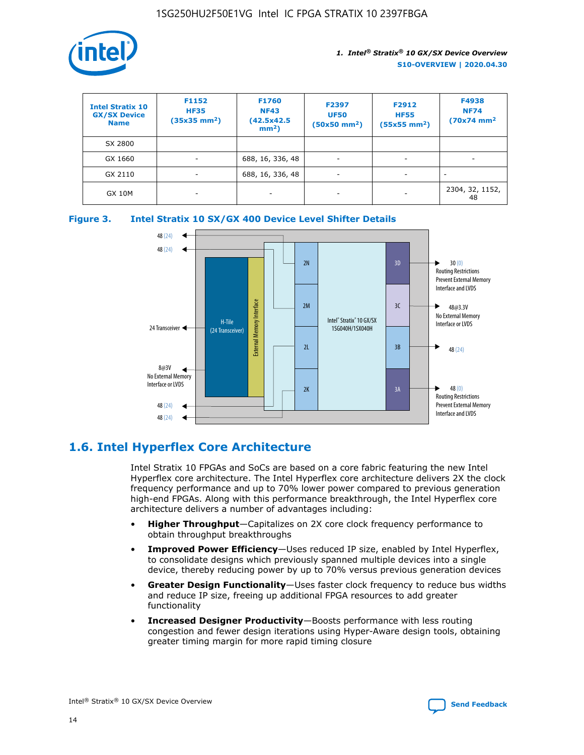

| <b>Intel Stratix 10</b><br><b>GX/SX Device</b><br><b>Name</b> | F1152<br><b>HF35</b><br>$(35x35)$ mm <sup>2</sup> ) | F1760<br><b>NF43</b><br>(42.5x42.5<br>$mm2$ ) | F2397<br><b>UF50</b><br>$(50x50 \text{ mm}^2)$ | F2912<br><b>HF55</b><br>$(55x55$ mm <sup>2</sup> ) | F4938<br><b>NF74</b><br>$(70x74)$ mm <sup>2</sup> |
|---------------------------------------------------------------|-----------------------------------------------------|-----------------------------------------------|------------------------------------------------|----------------------------------------------------|---------------------------------------------------|
| SX 2800                                                       |                                                     |                                               |                                                |                                                    |                                                   |
| GX 1660                                                       | -                                                   | 688, 16, 336, 48                              | $\overline{\phantom{a}}$                       |                                                    |                                                   |
| GX 2110                                                       |                                                     | 688, 16, 336, 48                              | $\overline{\phantom{a}}$                       |                                                    |                                                   |
| <b>GX 10M</b>                                                 | ۰                                                   |                                               |                                                |                                                    | 2304, 32, 1152,<br>48                             |





# **1.6. Intel Hyperflex Core Architecture**

Intel Stratix 10 FPGAs and SoCs are based on a core fabric featuring the new Intel Hyperflex core architecture. The Intel Hyperflex core architecture delivers 2X the clock frequency performance and up to 70% lower power compared to previous generation high-end FPGAs. Along with this performance breakthrough, the Intel Hyperflex core architecture delivers a number of advantages including:

- **Higher Throughput**—Capitalizes on 2X core clock frequency performance to obtain throughput breakthroughs
- **Improved Power Efficiency**—Uses reduced IP size, enabled by Intel Hyperflex, to consolidate designs which previously spanned multiple devices into a single device, thereby reducing power by up to 70% versus previous generation devices
- **Greater Design Functionality**—Uses faster clock frequency to reduce bus widths and reduce IP size, freeing up additional FPGA resources to add greater functionality
- **Increased Designer Productivity**—Boosts performance with less routing congestion and fewer design iterations using Hyper-Aware design tools, obtaining greater timing margin for more rapid timing closure

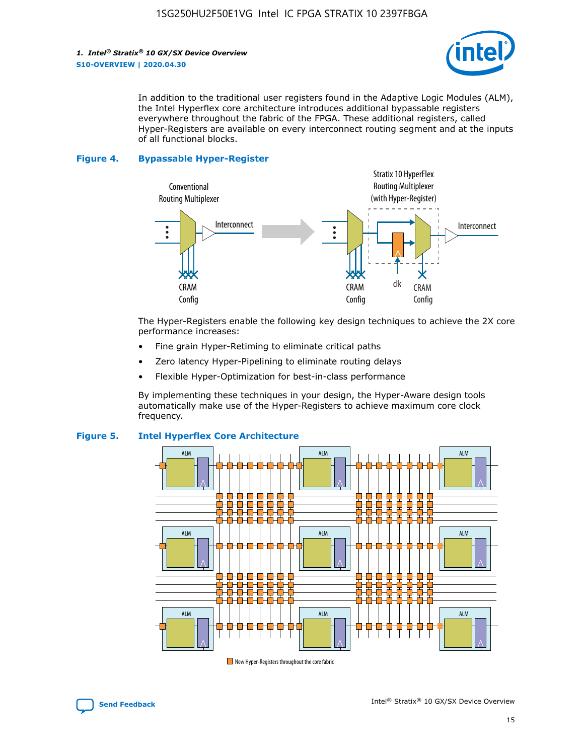

In addition to the traditional user registers found in the Adaptive Logic Modules (ALM), the Intel Hyperflex core architecture introduces additional bypassable registers everywhere throughout the fabric of the FPGA. These additional registers, called Hyper-Registers are available on every interconnect routing segment and at the inputs of all functional blocks.

#### **Figure 4. Bypassable Hyper-Register**



The Hyper-Registers enable the following key design techniques to achieve the 2X core performance increases:

- Fine grain Hyper-Retiming to eliminate critical paths
- Zero latency Hyper-Pipelining to eliminate routing delays
- Flexible Hyper-Optimization for best-in-class performance

By implementing these techniques in your design, the Hyper-Aware design tools automatically make use of the Hyper-Registers to achieve maximum core clock frequency.



#### **Figure 5. Intel Hyperflex Core Architecture**

New Hyper-Registers throughout the core fabric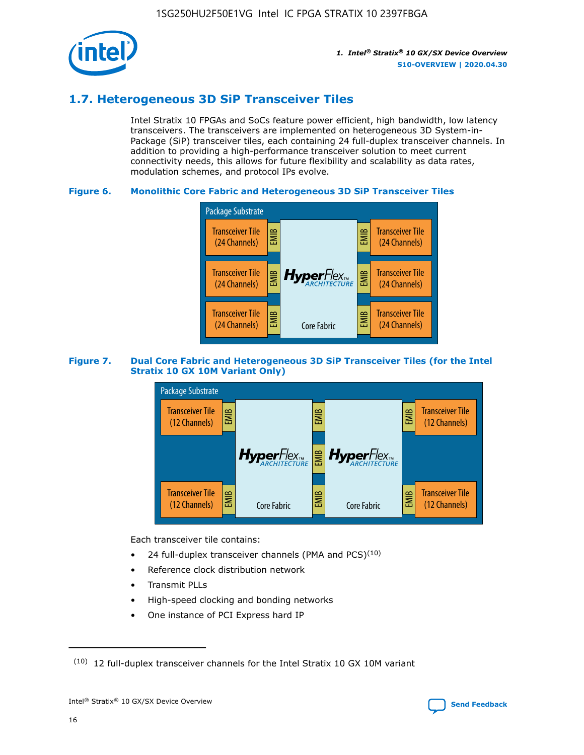

# **1.7. Heterogeneous 3D SiP Transceiver Tiles**

Intel Stratix 10 FPGAs and SoCs feature power efficient, high bandwidth, low latency transceivers. The transceivers are implemented on heterogeneous 3D System-in-Package (SiP) transceiver tiles, each containing 24 full-duplex transceiver channels. In addition to providing a high-performance transceiver solution to meet current connectivity needs, this allows for future flexibility and scalability as data rates, modulation schemes, and protocol IPs evolve.

#### **Figure 6. Monolithic Core Fabric and Heterogeneous 3D SiP Transceiver Tiles**



#### **Figure 7. Dual Core Fabric and Heterogeneous 3D SiP Transceiver Tiles (for the Intel Stratix 10 GX 10M Variant Only)**



Each transceiver tile contains:

- 24 full-duplex transceiver channels (PMA and PCS) $(10)$
- Reference clock distribution network
- Transmit PLLs
- High-speed clocking and bonding networks
- One instance of PCI Express hard IP

 $(10)$  12 full-duplex transceiver channels for the Intel Stratix 10 GX 10M variant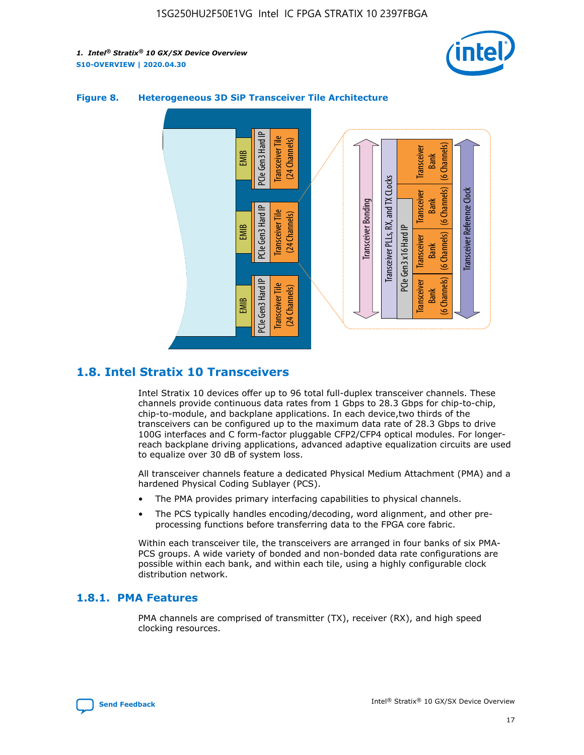



#### **Figure 8. Heterogeneous 3D SiP Transceiver Tile Architecture**

# **1.8. Intel Stratix 10 Transceivers**

Intel Stratix 10 devices offer up to 96 total full-duplex transceiver channels. These channels provide continuous data rates from 1 Gbps to 28.3 Gbps for chip-to-chip, chip-to-module, and backplane applications. In each device,two thirds of the transceivers can be configured up to the maximum data rate of 28.3 Gbps to drive 100G interfaces and C form-factor pluggable CFP2/CFP4 optical modules. For longerreach backplane driving applications, advanced adaptive equalization circuits are used to equalize over 30 dB of system loss.

All transceiver channels feature a dedicated Physical Medium Attachment (PMA) and a hardened Physical Coding Sublayer (PCS).

- The PMA provides primary interfacing capabilities to physical channels.
- The PCS typically handles encoding/decoding, word alignment, and other preprocessing functions before transferring data to the FPGA core fabric.

Within each transceiver tile, the transceivers are arranged in four banks of six PMA-PCS groups. A wide variety of bonded and non-bonded data rate configurations are possible within each bank, and within each tile, using a highly configurable clock distribution network.

#### **1.8.1. PMA Features**

PMA channels are comprised of transmitter (TX), receiver (RX), and high speed clocking resources.

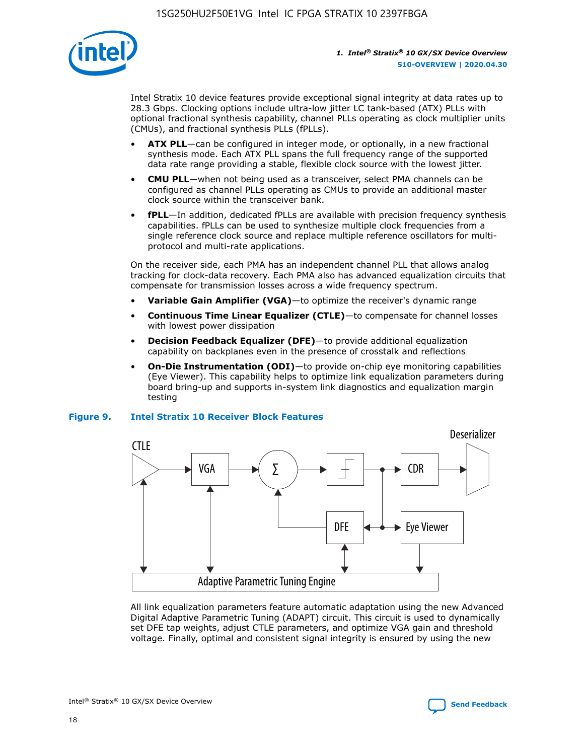

Intel Stratix 10 device features provide exceptional signal integrity at data rates up to 28.3 Gbps. Clocking options include ultra-low jitter LC tank-based (ATX) PLLs with optional fractional synthesis capability, channel PLLs operating as clock multiplier units (CMUs), and fractional synthesis PLLs (fPLLs).

- **ATX PLL**—can be configured in integer mode, or optionally, in a new fractional synthesis mode. Each ATX PLL spans the full frequency range of the supported data rate range providing a stable, flexible clock source with the lowest jitter.
- **CMU PLL**—when not being used as a transceiver, select PMA channels can be configured as channel PLLs operating as CMUs to provide an additional master clock source within the transceiver bank.
- **fPLL**—In addition, dedicated fPLLs are available with precision frequency synthesis capabilities. fPLLs can be used to synthesize multiple clock frequencies from a single reference clock source and replace multiple reference oscillators for multiprotocol and multi-rate applications.

On the receiver side, each PMA has an independent channel PLL that allows analog tracking for clock-data recovery. Each PMA also has advanced equalization circuits that compensate for transmission losses across a wide frequency spectrum.

- **Variable Gain Amplifier (VGA)**—to optimize the receiver's dynamic range
- **Continuous Time Linear Equalizer (CTLE)**—to compensate for channel losses with lowest power dissipation
- **Decision Feedback Equalizer (DFE)**—to provide additional equalization capability on backplanes even in the presence of crosstalk and reflections
- **On-Die Instrumentation (ODI)**—to provide on-chip eye monitoring capabilities (Eye Viewer). This capability helps to optimize link equalization parameters during board bring-up and supports in-system link diagnostics and equalization margin testing

#### **Figure 9. Intel Stratix 10 Receiver Block Features**



All link equalization parameters feature automatic adaptation using the new Advanced Digital Adaptive Parametric Tuning (ADAPT) circuit. This circuit is used to dynamically set DFE tap weights, adjust CTLE parameters, and optimize VGA gain and threshold voltage. Finally, optimal and consistent signal integrity is ensured by using the new

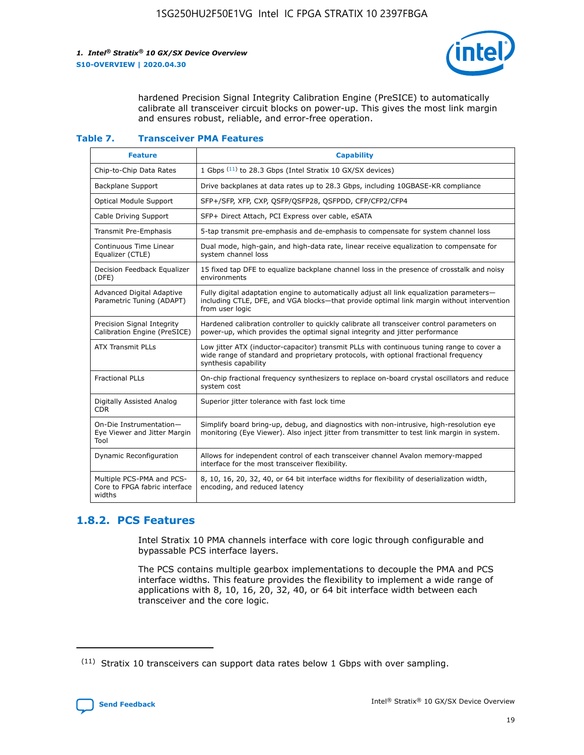

hardened Precision Signal Integrity Calibration Engine (PreSICE) to automatically calibrate all transceiver circuit blocks on power-up. This gives the most link margin and ensures robust, reliable, and error-free operation.

#### **Table 7. Transceiver PMA Features**

| <b>Feature</b>                                                       | <b>Capability</b>                                                                                                                                                                                         |
|----------------------------------------------------------------------|-----------------------------------------------------------------------------------------------------------------------------------------------------------------------------------------------------------|
| Chip-to-Chip Data Rates                                              | 1 Gbps (11) to 28.3 Gbps (Intel Stratix 10 GX/SX devices)                                                                                                                                                 |
| <b>Backplane Support</b>                                             | Drive backplanes at data rates up to 28.3 Gbps, including 10GBASE-KR compliance                                                                                                                           |
| Optical Module Support                                               | SFP+/SFP, XFP, CXP, QSFP/QSFP28, QSFPDD, CFP/CFP2/CFP4                                                                                                                                                    |
| Cable Driving Support                                                | SFP+ Direct Attach, PCI Express over cable, eSATA                                                                                                                                                         |
| <b>Transmit Pre-Emphasis</b>                                         | 5-tap transmit pre-emphasis and de-emphasis to compensate for system channel loss                                                                                                                         |
| Continuous Time Linear<br>Equalizer (CTLE)                           | Dual mode, high-gain, and high-data rate, linear receive equalization to compensate for<br>system channel loss                                                                                            |
| Decision Feedback Equalizer<br>(DFE)                                 | 15 fixed tap DFE to equalize backplane channel loss in the presence of crosstalk and noisy<br>environments                                                                                                |
| Advanced Digital Adaptive<br>Parametric Tuning (ADAPT)               | Fully digital adaptation engine to automatically adjust all link equalization parameters-<br>including CTLE, DFE, and VGA blocks-that provide optimal link margin without intervention<br>from user logic |
| Precision Signal Integrity<br>Calibration Engine (PreSICE)           | Hardened calibration controller to quickly calibrate all transceiver control parameters on<br>power-up, which provides the optimal signal integrity and jitter performance                                |
| <b>ATX Transmit PLLs</b>                                             | Low jitter ATX (inductor-capacitor) transmit PLLs with continuous tuning range to cover a<br>wide range of standard and proprietary protocols, with optional fractional frequency<br>synthesis capability |
| <b>Fractional PLLs</b>                                               | On-chip fractional frequency synthesizers to replace on-board crystal oscillators and reduce<br>system cost                                                                                               |
| Digitally Assisted Analog<br>CDR.                                    | Superior jitter tolerance with fast lock time                                                                                                                                                             |
| On-Die Instrumentation-<br>Eye Viewer and Jitter Margin<br>Tool      | Simplify board bring-up, debug, and diagnostics with non-intrusive, high-resolution eye<br>monitoring (Eye Viewer). Also inject jitter from transmitter to test link margin in system.                    |
| Dynamic Reconfiguration                                              | Allows for independent control of each transceiver channel Avalon memory-mapped<br>interface for the most transceiver flexibility.                                                                        |
| Multiple PCS-PMA and PCS-<br>Core to FPGA fabric interface<br>widths | 8, 10, 16, 20, 32, 40, or 64 bit interface widths for flexibility of deserialization width,<br>encoding, and reduced latency                                                                              |

### **1.8.2. PCS Features**

Intel Stratix 10 PMA channels interface with core logic through configurable and bypassable PCS interface layers.

The PCS contains multiple gearbox implementations to decouple the PMA and PCS interface widths. This feature provides the flexibility to implement a wide range of applications with 8, 10, 16, 20, 32, 40, or 64 bit interface width between each transceiver and the core logic.

<sup>(11)</sup> Stratix 10 transceivers can support data rates below 1 Gbps with over sampling.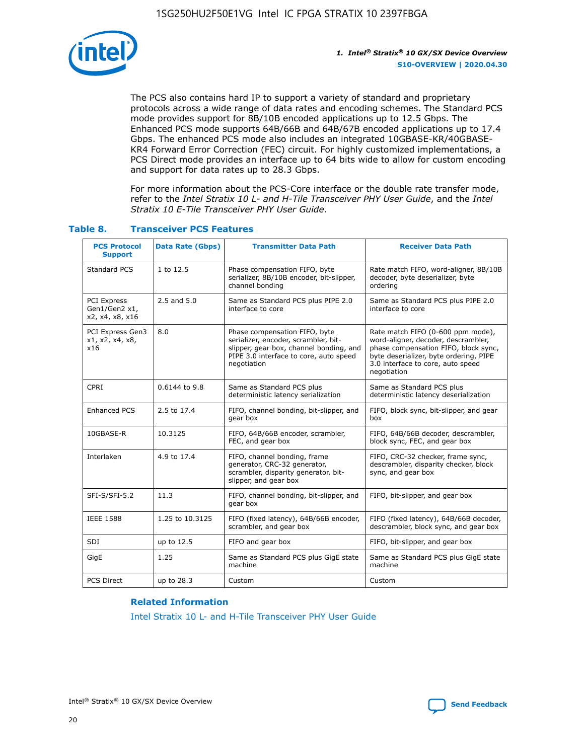

The PCS also contains hard IP to support a variety of standard and proprietary protocols across a wide range of data rates and encoding schemes. The Standard PCS mode provides support for 8B/10B encoded applications up to 12.5 Gbps. The Enhanced PCS mode supports 64B/66B and 64B/67B encoded applications up to 17.4 Gbps. The enhanced PCS mode also includes an integrated 10GBASE-KR/40GBASE-KR4 Forward Error Correction (FEC) circuit. For highly customized implementations, a PCS Direct mode provides an interface up to 64 bits wide to allow for custom encoding and support for data rates up to 28.3 Gbps.

For more information about the PCS-Core interface or the double rate transfer mode, refer to the *Intel Stratix 10 L- and H-Tile Transceiver PHY User Guide*, and the *Intel Stratix 10 E-Tile Transceiver PHY User Guide*.

| <b>PCS Protocol</b><br><b>Support</b>           | <b>Data Rate (Gbps)</b> | <b>Transmitter Data Path</b>                                                                                                                                              | <b>Receiver Data Path</b>                                                                                                                                                                                      |
|-------------------------------------------------|-------------------------|---------------------------------------------------------------------------------------------------------------------------------------------------------------------------|----------------------------------------------------------------------------------------------------------------------------------------------------------------------------------------------------------------|
| Standard PCS                                    | 1 to 12.5               | Phase compensation FIFO, byte<br>serializer, 8B/10B encoder, bit-slipper,<br>channel bonding                                                                              | Rate match FIFO, word-aligner, 8B/10B<br>decoder, byte deserializer, byte<br>ordering                                                                                                                          |
| PCI Express<br>Gen1/Gen2 x1,<br>x2, x4, x8, x16 | $2.5$ and $5.0$         | Same as Standard PCS plus PIPE 2.0<br>interface to core                                                                                                                   | Same as Standard PCS plus PIPE 2.0<br>interface to core                                                                                                                                                        |
| PCI Express Gen3<br>x1, x2, x4, x8,<br>x16      | 8.0                     | Phase compensation FIFO, byte<br>serializer, encoder, scrambler, bit-<br>slipper, gear box, channel bonding, and<br>PIPE 3.0 interface to core, auto speed<br>negotiation | Rate match FIFO (0-600 ppm mode),<br>word-aligner, decoder, descrambler,<br>phase compensation FIFO, block sync,<br>byte deserializer, byte ordering, PIPE<br>3.0 interface to core, auto speed<br>negotiation |
| CPRI                                            | 0.6144 to 9.8           | Same as Standard PCS plus<br>deterministic latency serialization                                                                                                          | Same as Standard PCS plus<br>deterministic latency deserialization                                                                                                                                             |
| <b>Enhanced PCS</b>                             | 2.5 to 17.4             | FIFO, channel bonding, bit-slipper, and<br>gear box                                                                                                                       | FIFO, block sync, bit-slipper, and gear<br>box                                                                                                                                                                 |
| 10GBASE-R                                       | 10.3125                 | FIFO, 64B/66B encoder, scrambler,<br>FEC, and gear box                                                                                                                    | FIFO, 64B/66B decoder, descrambler,<br>block sync, FEC, and gear box                                                                                                                                           |
| Interlaken                                      | 4.9 to 17.4             | FIFO, channel bonding, frame<br>generator, CRC-32 generator,<br>scrambler, disparity generator, bit-<br>slipper, and gear box                                             | FIFO, CRC-32 checker, frame sync,<br>descrambler, disparity checker, block<br>sync, and gear box                                                                                                               |
| SFI-S/SFI-5.2                                   | 11.3                    | FIFO, channel bonding, bit-slipper, and<br>gear box                                                                                                                       | FIFO, bit-slipper, and gear box                                                                                                                                                                                |
| <b>IEEE 1588</b>                                | 1.25 to 10.3125         | FIFO (fixed latency), 64B/66B encoder,<br>scrambler, and gear box                                                                                                         | FIFO (fixed latency), 64B/66B decoder,<br>descrambler, block sync, and gear box                                                                                                                                |
| SDI                                             | up to 12.5              | FIFO and gear box                                                                                                                                                         | FIFO, bit-slipper, and gear box                                                                                                                                                                                |
| GigE                                            | 1.25                    | Same as Standard PCS plus GigE state<br>machine                                                                                                                           | Same as Standard PCS plus GigE state<br>machine                                                                                                                                                                |
| <b>PCS Direct</b>                               | up to 28.3              | Custom                                                                                                                                                                    | Custom                                                                                                                                                                                                         |

#### **Table 8. Transceiver PCS Features**

#### **Related Information**

[Intel Stratix 10 L- and H-Tile Transceiver PHY User Guide](https://www.altera.com/documentation/wry1479165198810.html)

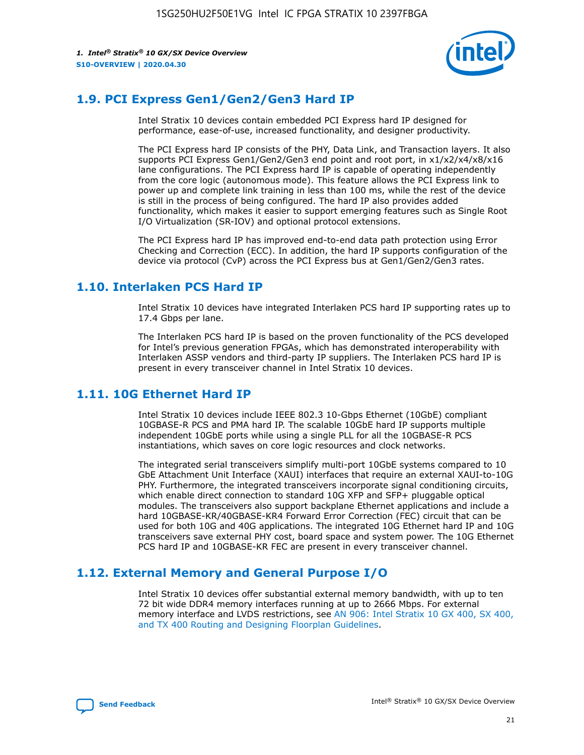

# **1.9. PCI Express Gen1/Gen2/Gen3 Hard IP**

Intel Stratix 10 devices contain embedded PCI Express hard IP designed for performance, ease-of-use, increased functionality, and designer productivity.

The PCI Express hard IP consists of the PHY, Data Link, and Transaction layers. It also supports PCI Express Gen1/Gen2/Gen3 end point and root port, in x1/x2/x4/x8/x16 lane configurations. The PCI Express hard IP is capable of operating independently from the core logic (autonomous mode). This feature allows the PCI Express link to power up and complete link training in less than 100 ms, while the rest of the device is still in the process of being configured. The hard IP also provides added functionality, which makes it easier to support emerging features such as Single Root I/O Virtualization (SR-IOV) and optional protocol extensions.

The PCI Express hard IP has improved end-to-end data path protection using Error Checking and Correction (ECC). In addition, the hard IP supports configuration of the device via protocol (CvP) across the PCI Express bus at Gen1/Gen2/Gen3 rates.

# **1.10. Interlaken PCS Hard IP**

Intel Stratix 10 devices have integrated Interlaken PCS hard IP supporting rates up to 17.4 Gbps per lane.

The Interlaken PCS hard IP is based on the proven functionality of the PCS developed for Intel's previous generation FPGAs, which has demonstrated interoperability with Interlaken ASSP vendors and third-party IP suppliers. The Interlaken PCS hard IP is present in every transceiver channel in Intel Stratix 10 devices.

# **1.11. 10G Ethernet Hard IP**

Intel Stratix 10 devices include IEEE 802.3 10-Gbps Ethernet (10GbE) compliant 10GBASE-R PCS and PMA hard IP. The scalable 10GbE hard IP supports multiple independent 10GbE ports while using a single PLL for all the 10GBASE-R PCS instantiations, which saves on core logic resources and clock networks.

The integrated serial transceivers simplify multi-port 10GbE systems compared to 10 GbE Attachment Unit Interface (XAUI) interfaces that require an external XAUI-to-10G PHY. Furthermore, the integrated transceivers incorporate signal conditioning circuits, which enable direct connection to standard 10G XFP and SFP+ pluggable optical modules. The transceivers also support backplane Ethernet applications and include a hard 10GBASE-KR/40GBASE-KR4 Forward Error Correction (FEC) circuit that can be used for both 10G and 40G applications. The integrated 10G Ethernet hard IP and 10G transceivers save external PHY cost, board space and system power. The 10G Ethernet PCS hard IP and 10GBASE-KR FEC are present in every transceiver channel.

# **1.12. External Memory and General Purpose I/O**

Intel Stratix 10 devices offer substantial external memory bandwidth, with up to ten 72 bit wide DDR4 memory interfaces running at up to 2666 Mbps. For external memory interface and LVDS restrictions, see [AN 906: Intel Stratix 10 GX 400, SX 400,](https://www.intel.com/content/www/us/en/programmable/documentation/sjf1574667190623.html#bft1574667627484) [and TX 400 Routing and Designing Floorplan Guidelines.](https://www.intel.com/content/www/us/en/programmable/documentation/sjf1574667190623.html#bft1574667627484)

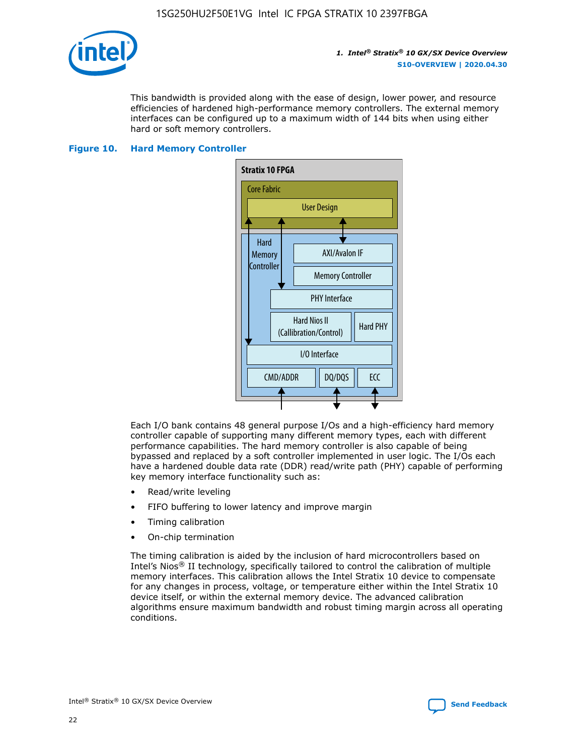

This bandwidth is provided along with the ease of design, lower power, and resource efficiencies of hardened high-performance memory controllers. The external memory interfaces can be configured up to a maximum width of 144 bits when using either hard or soft memory controllers.

#### **Figure 10. Hard Memory Controller**



Each I/O bank contains 48 general purpose I/Os and a high-efficiency hard memory controller capable of supporting many different memory types, each with different performance capabilities. The hard memory controller is also capable of being bypassed and replaced by a soft controller implemented in user logic. The I/Os each have a hardened double data rate (DDR) read/write path (PHY) capable of performing key memory interface functionality such as:

- Read/write leveling
- FIFO buffering to lower latency and improve margin
- Timing calibration
- On-chip termination

The timing calibration is aided by the inclusion of hard microcontrollers based on Intel's Nios® II technology, specifically tailored to control the calibration of multiple memory interfaces. This calibration allows the Intel Stratix 10 device to compensate for any changes in process, voltage, or temperature either within the Intel Stratix 10 device itself, or within the external memory device. The advanced calibration algorithms ensure maximum bandwidth and robust timing margin across all operating conditions.

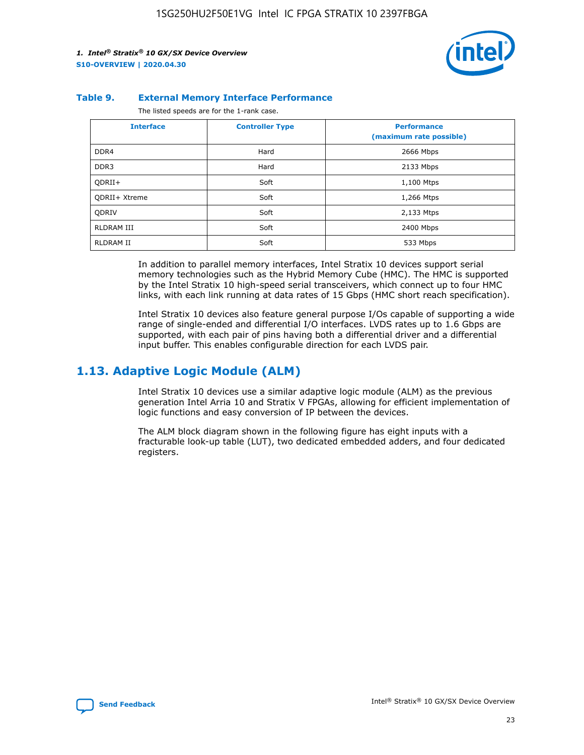

#### **Table 9. External Memory Interface Performance**

The listed speeds are for the 1-rank case.

| <b>Interface</b>     | <b>Controller Type</b> | <b>Performance</b><br>(maximum rate possible) |
|----------------------|------------------------|-----------------------------------------------|
| DDR4                 | Hard                   | 2666 Mbps                                     |
| DDR <sub>3</sub>     | Hard                   | 2133 Mbps                                     |
| QDRII+               | Soft                   | 1,100 Mtps                                    |
| <b>ODRII+ Xtreme</b> | Soft                   | 1,266 Mtps                                    |
| <b>ODRIV</b>         | Soft                   | 2,133 Mtps                                    |
| RLDRAM III           | Soft                   | 2400 Mbps                                     |
| <b>RLDRAM II</b>     | Soft                   | 533 Mbps                                      |

In addition to parallel memory interfaces, Intel Stratix 10 devices support serial memory technologies such as the Hybrid Memory Cube (HMC). The HMC is supported by the Intel Stratix 10 high-speed serial transceivers, which connect up to four HMC links, with each link running at data rates of 15 Gbps (HMC short reach specification).

Intel Stratix 10 devices also feature general purpose I/Os capable of supporting a wide range of single-ended and differential I/O interfaces. LVDS rates up to 1.6 Gbps are supported, with each pair of pins having both a differential driver and a differential input buffer. This enables configurable direction for each LVDS pair.

### **1.13. Adaptive Logic Module (ALM)**

Intel Stratix 10 devices use a similar adaptive logic module (ALM) as the previous generation Intel Arria 10 and Stratix V FPGAs, allowing for efficient implementation of logic functions and easy conversion of IP between the devices.

The ALM block diagram shown in the following figure has eight inputs with a fracturable look-up table (LUT), two dedicated embedded adders, and four dedicated registers.

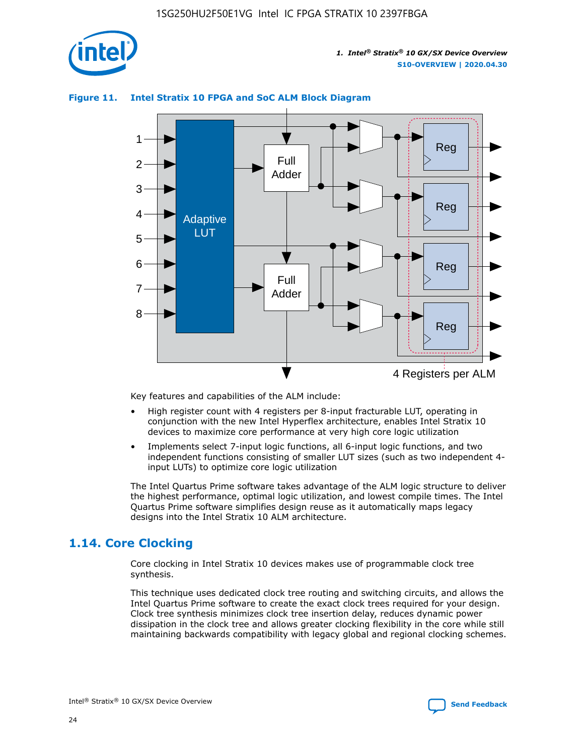

# Reg Reg 1 2 3 4 5 6 7 8 Reg Reg 4 Registers per ALM Full Adder Full Adder Adaptive LUT

#### **Figure 11. Intel Stratix 10 FPGA and SoC ALM Block Diagram**

Key features and capabilities of the ALM include:

- High register count with 4 registers per 8-input fracturable LUT, operating in conjunction with the new Intel Hyperflex architecture, enables Intel Stratix 10 devices to maximize core performance at very high core logic utilization
- Implements select 7-input logic functions, all 6-input logic functions, and two independent functions consisting of smaller LUT sizes (such as two independent 4 input LUTs) to optimize core logic utilization

The Intel Quartus Prime software takes advantage of the ALM logic structure to deliver the highest performance, optimal logic utilization, and lowest compile times. The Intel Quartus Prime software simplifies design reuse as it automatically maps legacy designs into the Intel Stratix 10 ALM architecture.

# **1.14. Core Clocking**

Core clocking in Intel Stratix 10 devices makes use of programmable clock tree synthesis.

This technique uses dedicated clock tree routing and switching circuits, and allows the Intel Quartus Prime software to create the exact clock trees required for your design. Clock tree synthesis minimizes clock tree insertion delay, reduces dynamic power dissipation in the clock tree and allows greater clocking flexibility in the core while still maintaining backwards compatibility with legacy global and regional clocking schemes.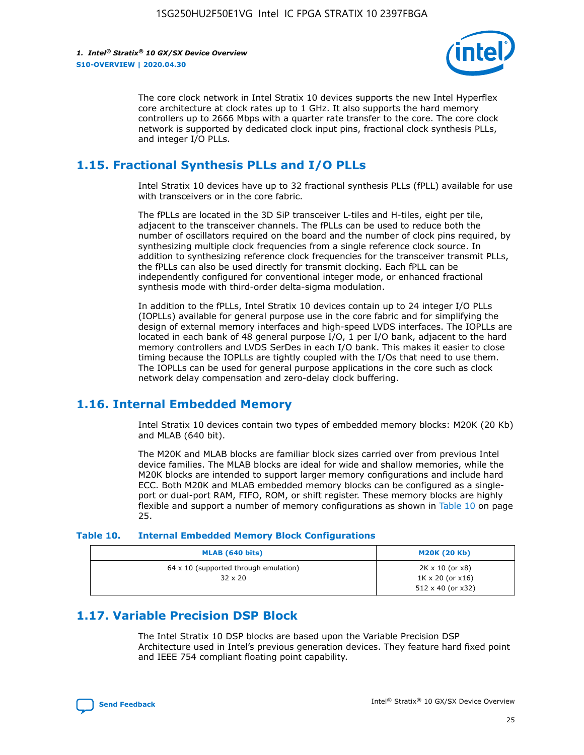

The core clock network in Intel Stratix 10 devices supports the new Intel Hyperflex core architecture at clock rates up to 1 GHz. It also supports the hard memory controllers up to 2666 Mbps with a quarter rate transfer to the core. The core clock network is supported by dedicated clock input pins, fractional clock synthesis PLLs, and integer I/O PLLs.

# **1.15. Fractional Synthesis PLLs and I/O PLLs**

Intel Stratix 10 devices have up to 32 fractional synthesis PLLs (fPLL) available for use with transceivers or in the core fabric.

The fPLLs are located in the 3D SiP transceiver L-tiles and H-tiles, eight per tile, adjacent to the transceiver channels. The fPLLs can be used to reduce both the number of oscillators required on the board and the number of clock pins required, by synthesizing multiple clock frequencies from a single reference clock source. In addition to synthesizing reference clock frequencies for the transceiver transmit PLLs, the fPLLs can also be used directly for transmit clocking. Each fPLL can be independently configured for conventional integer mode, or enhanced fractional synthesis mode with third-order delta-sigma modulation.

In addition to the fPLLs, Intel Stratix 10 devices contain up to 24 integer I/O PLLs (IOPLLs) available for general purpose use in the core fabric and for simplifying the design of external memory interfaces and high-speed LVDS interfaces. The IOPLLs are located in each bank of 48 general purpose I/O, 1 per I/O bank, adjacent to the hard memory controllers and LVDS SerDes in each I/O bank. This makes it easier to close timing because the IOPLLs are tightly coupled with the I/Os that need to use them. The IOPLLs can be used for general purpose applications in the core such as clock network delay compensation and zero-delay clock buffering.

# **1.16. Internal Embedded Memory**

Intel Stratix 10 devices contain two types of embedded memory blocks: M20K (20 Kb) and MLAB (640 bit).

The M20K and MLAB blocks are familiar block sizes carried over from previous Intel device families. The MLAB blocks are ideal for wide and shallow memories, while the M20K blocks are intended to support larger memory configurations and include hard ECC. Both M20K and MLAB embedded memory blocks can be configured as a singleport or dual-port RAM, FIFO, ROM, or shift register. These memory blocks are highly flexible and support a number of memory configurations as shown in Table 10 on page 25.

#### **Table 10. Internal Embedded Memory Block Configurations**

| MLAB (640 bits)                                                | <b>M20K (20 Kb)</b>                                                                    |
|----------------------------------------------------------------|----------------------------------------------------------------------------------------|
| $64 \times 10$ (supported through emulation)<br>$32 \times 20$ | $2K \times 10$ (or $x8$ )<br>$1K \times 20$ (or $x16$ )<br>$512 \times 40$ (or $x32$ ) |

# **1.17. Variable Precision DSP Block**

The Intel Stratix 10 DSP blocks are based upon the Variable Precision DSP Architecture used in Intel's previous generation devices. They feature hard fixed point and IEEE 754 compliant floating point capability.

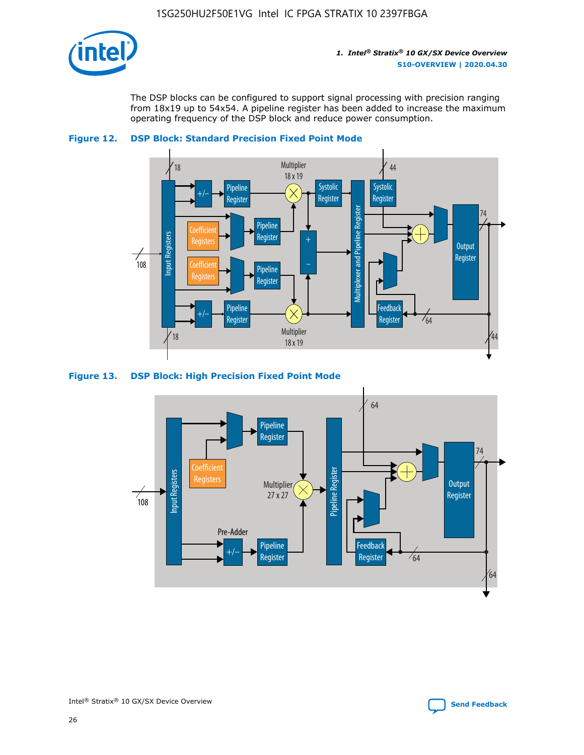

The DSP blocks can be configured to support signal processing with precision ranging from 18x19 up to 54x54. A pipeline register has been added to increase the maximum operating frequency of the DSP block and reduce power consumption.





#### **Figure 13. DSP Block: High Precision Fixed Point Mode**

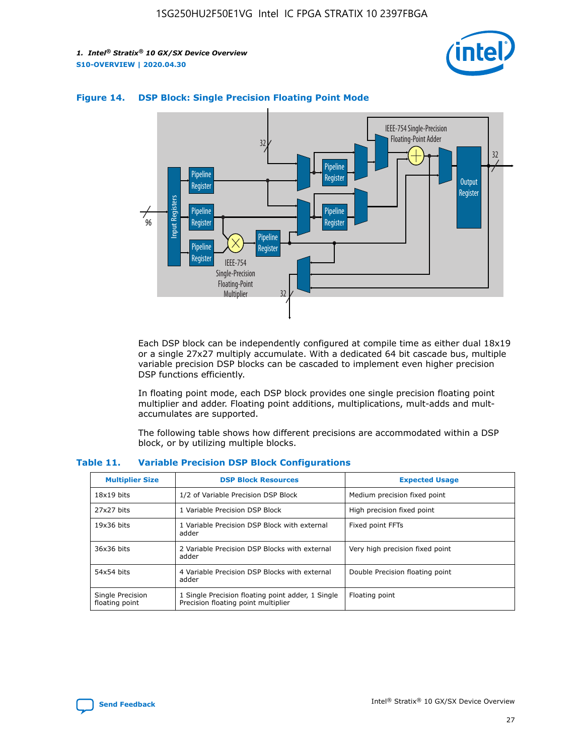



#### **Figure 14. DSP Block: Single Precision Floating Point Mode**

Each DSP block can be independently configured at compile time as either dual 18x19 or a single 27x27 multiply accumulate. With a dedicated 64 bit cascade bus, multiple variable precision DSP blocks can be cascaded to implement even higher precision DSP functions efficiently.

In floating point mode, each DSP block provides one single precision floating point multiplier and adder. Floating point additions, multiplications, mult-adds and multaccumulates are supported.

The following table shows how different precisions are accommodated within a DSP block, or by utilizing multiple blocks.

| <b>Multiplier Size</b>             | <b>DSP Block Resources</b>                                                               | <b>Expected Usage</b>           |
|------------------------------------|------------------------------------------------------------------------------------------|---------------------------------|
| $18x19$ bits                       | 1/2 of Variable Precision DSP Block                                                      | Medium precision fixed point    |
| 27x27 bits                         | 1 Variable Precision DSP Block                                                           | High precision fixed point      |
| $19x36$ bits                       | 1 Variable Precision DSP Block with external<br>adder                                    | Fixed point FFTs                |
| 36x36 bits                         | 2 Variable Precision DSP Blocks with external<br>adder                                   | Very high precision fixed point |
| 54x54 bits                         | 4 Variable Precision DSP Blocks with external<br>adder                                   | Double Precision floating point |
| Single Precision<br>floating point | 1 Single Precision floating point adder, 1 Single<br>Precision floating point multiplier | Floating point                  |

#### **Table 11. Variable Precision DSP Block Configurations**

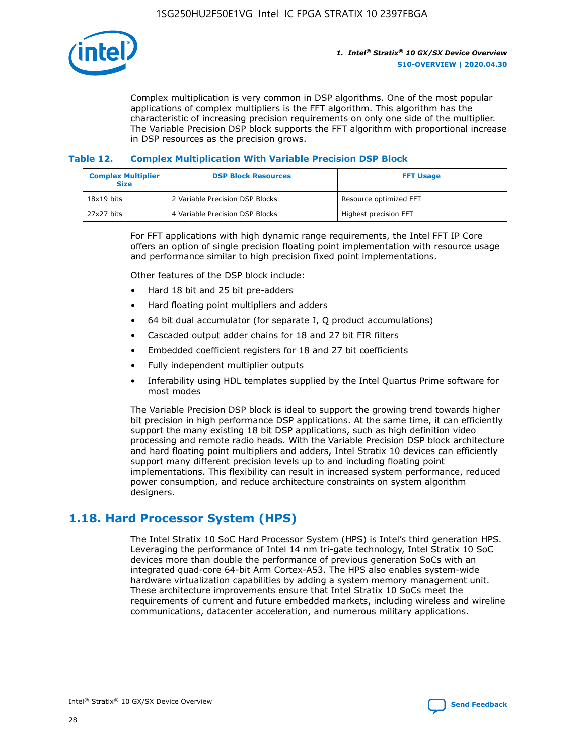

Complex multiplication is very common in DSP algorithms. One of the most popular applications of complex multipliers is the FFT algorithm. This algorithm has the characteristic of increasing precision requirements on only one side of the multiplier. The Variable Precision DSP block supports the FFT algorithm with proportional increase in DSP resources as the precision grows.

#### **Table 12. Complex Multiplication With Variable Precision DSP Block**

| <b>Complex Multiplier</b><br><b>Size</b> | <b>DSP Block Resources</b>      | <b>FFT Usage</b>       |
|------------------------------------------|---------------------------------|------------------------|
| $18x19$ bits                             | 2 Variable Precision DSP Blocks | Resource optimized FFT |
| 27x27 bits                               | 4 Variable Precision DSP Blocks | Highest precision FFT  |

For FFT applications with high dynamic range requirements, the Intel FFT IP Core offers an option of single precision floating point implementation with resource usage and performance similar to high precision fixed point implementations.

Other features of the DSP block include:

- Hard 18 bit and 25 bit pre-adders
- Hard floating point multipliers and adders
- 64 bit dual accumulator (for separate I, Q product accumulations)
- Cascaded output adder chains for 18 and 27 bit FIR filters
- Embedded coefficient registers for 18 and 27 bit coefficients
- Fully independent multiplier outputs
- Inferability using HDL templates supplied by the Intel Quartus Prime software for most modes

The Variable Precision DSP block is ideal to support the growing trend towards higher bit precision in high performance DSP applications. At the same time, it can efficiently support the many existing 18 bit DSP applications, such as high definition video processing and remote radio heads. With the Variable Precision DSP block architecture and hard floating point multipliers and adders, Intel Stratix 10 devices can efficiently support many different precision levels up to and including floating point implementations. This flexibility can result in increased system performance, reduced power consumption, and reduce architecture constraints on system algorithm designers.

# **1.18. Hard Processor System (HPS)**

The Intel Stratix 10 SoC Hard Processor System (HPS) is Intel's third generation HPS. Leveraging the performance of Intel 14 nm tri-gate technology, Intel Stratix 10 SoC devices more than double the performance of previous generation SoCs with an integrated quad-core 64-bit Arm Cortex-A53. The HPS also enables system-wide hardware virtualization capabilities by adding a system memory management unit. These architecture improvements ensure that Intel Stratix 10 SoCs meet the requirements of current and future embedded markets, including wireless and wireline communications, datacenter acceleration, and numerous military applications.

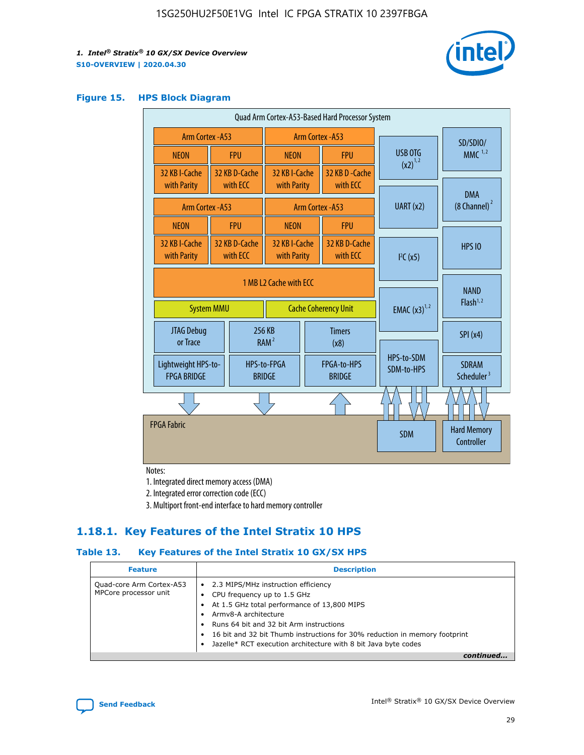

#### **Figure 15. HPS Block Diagram**

| Quad Arm Cortex-A53-Based Hard Processor System |                        |                           |                              |                             |                              |           |                          |                                        |
|-------------------------------------------------|------------------------|---------------------------|------------------------------|-----------------------------|------------------------------|-----------|--------------------------|----------------------------------------|
| <b>Arm Cortex - A53</b>                         |                        |                           | Arm Cortex - A53             |                             |                              |           | SD/SDIO/                 |                                        |
| <b>NEON</b>                                     |                        | <b>FPU</b>                | <b>NEON</b>                  |                             | <b>FPU</b>                   |           | USB OTG                  | $MMC$ <sup>1,2</sup>                   |
| 32 KB I-Cache                                   |                        | 32 KB D-Cache             | 32 KB I-Cache                |                             | 32 KB D - Cache              |           | $(x2)^{1,2}$             |                                        |
| with Parity                                     |                        | with ECC                  | with Parity                  |                             | with ECC                     |           |                          | <b>DMA</b>                             |
| Arm Cortex - A53                                |                        |                           |                              |                             | Arm Cortex - A53             | UART (x2) |                          | $(8 \text{ Channel})^2$                |
| <b>NEON</b>                                     |                        | <b>FPU</b>                | <b>NEON</b>                  |                             | <b>FPU</b>                   |           |                          |                                        |
| 32 KB I-Cache<br>with Parity                    |                        | 32 KB D-Cache<br>with ECC | 32 KB I-Cache<br>with Parity |                             | 32 KB D-Cache<br>with ECC    |           | I <sup>2</sup> C(x5)     | <b>HPS 10</b>                          |
|                                                 | 1 MB L2 Cache with ECC |                           |                              |                             |                              |           |                          |                                        |
| <b>System MMU</b>                               |                        |                           |                              | <b>Cache Coherency Unit</b> |                              |           | <b>EMAC</b> $(x3)^{1,2}$ | <b>NAND</b><br>Flash <sup>1,2</sup>    |
| JTAG Debug<br>or Trace                          |                        |                           | 256 KB<br>RAM <sup>2</sup>   | <b>Timers</b><br>(x8)       |                              |           |                          | SPI(x4)                                |
| Lightweight HPS-to-<br><b>FPGA BRIDGE</b>       |                        |                           | HPS-to-FPGA<br><b>BRIDGE</b> |                             | FPGA-to-HPS<br><b>BRIDGE</b> |           | HPS-to-SDM<br>SDM-to-HPS | <b>SDRAM</b><br>Scheduler <sup>3</sup> |
|                                                 |                        |                           |                              |                             |                              |           |                          |                                        |
| <b>FPGA Fabric</b>                              |                        |                           |                              |                             |                              |           | <b>SDM</b>               | <b>Hard Memory</b><br>Controller       |
|                                                 |                        |                           |                              |                             |                              |           |                          |                                        |

Notes:

1. Integrated direct memory access (DMA)

2. Integrated error correction code (ECC)

3. Multiport front-end interface to hard memory controller

### **1.18.1. Key Features of the Intel Stratix 10 HPS**

#### **Table 13. Key Features of the Intel Stratix 10 GX/SX HPS**

| <b>Feature</b>                                    | <b>Description</b>                                                                                                                                                                                                                                                                                                                     |
|---------------------------------------------------|----------------------------------------------------------------------------------------------------------------------------------------------------------------------------------------------------------------------------------------------------------------------------------------------------------------------------------------|
| Quad-core Arm Cortex-A53<br>MPCore processor unit | • 2.3 MIPS/MHz instruction efficiency<br>CPU frequency up to 1.5 GHz<br>At 1.5 GHz total performance of 13,800 MIPS<br>Army8-A architecture<br>Runs 64 bit and 32 bit Arm instructions<br>16 bit and 32 bit Thumb instructions for 30% reduction in memory footprint<br>Jazelle* RCT execution architecture with 8 bit Java byte codes |
|                                                   |                                                                                                                                                                                                                                                                                                                                        |

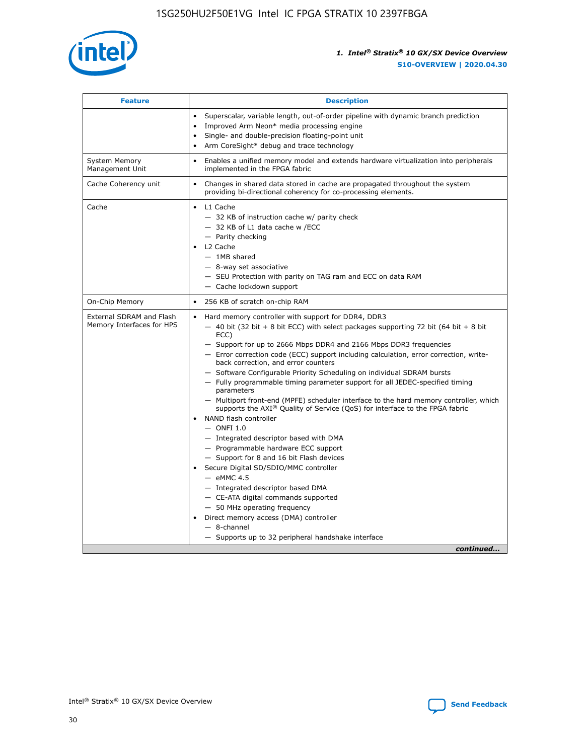

| <b>Feature</b>                                        | <b>Description</b>                                                                                                                                                                                                                                                                                                                                                                                                                                                                                                                                                                                                                                                                                                                                                                                                                                                                                                                                                                                                                                                                                                                                                                                                       |  |  |
|-------------------------------------------------------|--------------------------------------------------------------------------------------------------------------------------------------------------------------------------------------------------------------------------------------------------------------------------------------------------------------------------------------------------------------------------------------------------------------------------------------------------------------------------------------------------------------------------------------------------------------------------------------------------------------------------------------------------------------------------------------------------------------------------------------------------------------------------------------------------------------------------------------------------------------------------------------------------------------------------------------------------------------------------------------------------------------------------------------------------------------------------------------------------------------------------------------------------------------------------------------------------------------------------|--|--|
|                                                       | Superscalar, variable length, out-of-order pipeline with dynamic branch prediction<br>Improved Arm Neon* media processing engine<br>$\bullet$<br>Single- and double-precision floating-point unit<br>Arm CoreSight* debug and trace technology<br>$\bullet$                                                                                                                                                                                                                                                                                                                                                                                                                                                                                                                                                                                                                                                                                                                                                                                                                                                                                                                                                              |  |  |
| <b>System Memory</b><br>Management Unit               | Enables a unified memory model and extends hardware virtualization into peripherals<br>implemented in the FPGA fabric                                                                                                                                                                                                                                                                                                                                                                                                                                                                                                                                                                                                                                                                                                                                                                                                                                                                                                                                                                                                                                                                                                    |  |  |
| Cache Coherency unit                                  | Changes in shared data stored in cache are propagated throughout the system<br>$\bullet$<br>providing bi-directional coherency for co-processing elements.                                                                                                                                                                                                                                                                                                                                                                                                                                                                                                                                                                                                                                                                                                                                                                                                                                                                                                                                                                                                                                                               |  |  |
| Cache                                                 | L1 Cache<br>$\bullet$<br>- 32 KB of instruction cache w/ parity check<br>- 32 KB of L1 data cache w /ECC<br>- Parity checking<br>L <sub>2</sub> Cache<br>- 1MB shared<br>- 8-way set associative<br>- SEU Protection with parity on TAG ram and ECC on data RAM<br>- Cache lockdown support                                                                                                                                                                                                                                                                                                                                                                                                                                                                                                                                                                                                                                                                                                                                                                                                                                                                                                                              |  |  |
| On-Chip Memory                                        | 256 KB of scratch on-chip RAM                                                                                                                                                                                                                                                                                                                                                                                                                                                                                                                                                                                                                                                                                                                                                                                                                                                                                                                                                                                                                                                                                                                                                                                            |  |  |
| External SDRAM and Flash<br>Memory Interfaces for HPS | Hard memory controller with support for DDR4, DDR3<br>$\bullet$<br>$-$ 40 bit (32 bit + 8 bit ECC) with select packages supporting 72 bit (64 bit + 8 bit<br>ECC)<br>- Support for up to 2666 Mbps DDR4 and 2166 Mbps DDR3 frequencies<br>- Error correction code (ECC) support including calculation, error correction, write-<br>back correction, and error counters<br>- Software Configurable Priority Scheduling on individual SDRAM bursts<br>- Fully programmable timing parameter support for all JEDEC-specified timing<br>parameters<br>- Multiport front-end (MPFE) scheduler interface to the hard memory controller, which<br>supports the $AXI^{\circledR}$ Quality of Service (QoS) for interface to the FPGA fabric<br>NAND flash controller<br>$-$ ONFI 1.0<br>- Integrated descriptor based with DMA<br>- Programmable hardware ECC support<br>- Support for 8 and 16 bit Flash devices<br>Secure Digital SD/SDIO/MMC controller<br>$-$ eMMC 4.5<br>- Integrated descriptor based DMA<br>- CE-ATA digital commands supported<br>- 50 MHz operating frequency<br>Direct memory access (DMA) controller<br>$\bullet$<br>$-$ 8-channel<br>- Supports up to 32 peripheral handshake interface<br>continued |  |  |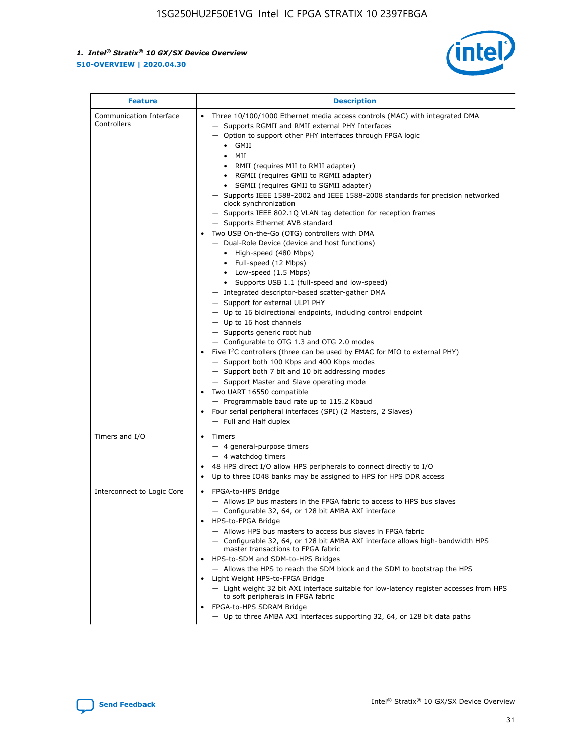

| <b>Feature</b>                         | <b>Description</b>                                                                                                                                                                                                                                                                                                                                                                                                                                                                                                                                                                                                                                                                                                                                                                                                                                                                                                                                                                                                                                                                                                                                                                                                                                                                                                                                                                                                                                                                                                  |  |
|----------------------------------------|---------------------------------------------------------------------------------------------------------------------------------------------------------------------------------------------------------------------------------------------------------------------------------------------------------------------------------------------------------------------------------------------------------------------------------------------------------------------------------------------------------------------------------------------------------------------------------------------------------------------------------------------------------------------------------------------------------------------------------------------------------------------------------------------------------------------------------------------------------------------------------------------------------------------------------------------------------------------------------------------------------------------------------------------------------------------------------------------------------------------------------------------------------------------------------------------------------------------------------------------------------------------------------------------------------------------------------------------------------------------------------------------------------------------------------------------------------------------------------------------------------------------|--|
| Communication Interface<br>Controllers | Three 10/100/1000 Ethernet media access controls (MAC) with integrated DMA<br>$\bullet$<br>- Supports RGMII and RMII external PHY Interfaces<br>- Option to support other PHY interfaces through FPGA logic<br>GMII<br>$\bullet$<br>MII<br>$\bullet$<br>• RMII (requires MII to RMII adapter)<br>• RGMII (requires GMII to RGMII adapter)<br>• SGMII (requires GMII to SGMII adapter)<br>- Supports IEEE 1588-2002 and IEEE 1588-2008 standards for precision networked<br>clock synchronization<br>- Supports IEEE 802.1Q VLAN tag detection for reception frames<br>- Supports Ethernet AVB standard<br>Two USB On-the-Go (OTG) controllers with DMA<br>- Dual-Role Device (device and host functions)<br>• High-speed (480 Mbps)<br>• Full-speed (12 Mbps)<br>• Low-speed (1.5 Mbps)<br>• Supports USB 1.1 (full-speed and low-speed)<br>- Integrated descriptor-based scatter-gather DMA<br>- Support for external ULPI PHY<br>- Up to 16 bidirectional endpoints, including control endpoint<br>$-$ Up to 16 host channels<br>- Supports generic root hub<br>- Configurable to OTG 1.3 and OTG 2.0 modes<br>Five $I^2C$ controllers (three can be used by EMAC for MIO to external PHY)<br>- Support both 100 Kbps and 400 Kbps modes<br>- Support both 7 bit and 10 bit addressing modes<br>- Support Master and Slave operating mode<br>Two UART 16550 compatible<br>- Programmable baud rate up to 115.2 Kbaud<br>• Four serial peripheral interfaces (SPI) (2 Masters, 2 Slaves)<br>- Full and Half duplex |  |
| Timers and I/O                         | $\bullet$ Timers<br>- 4 general-purpose timers<br>$-4$ watchdog timers<br>48 HPS direct I/O allow HPS peripherals to connect directly to I/O<br>Up to three IO48 banks may be assigned to HPS for HPS DDR access                                                                                                                                                                                                                                                                                                                                                                                                                                                                                                                                                                                                                                                                                                                                                                                                                                                                                                                                                                                                                                                                                                                                                                                                                                                                                                    |  |
| Interconnect to Logic Core             | • FPGA-to-HPS Bridge<br>- Allows IP bus masters in the FPGA fabric to access to HPS bus slaves<br>- Configurable 32, 64, or 128 bit AMBA AXI interface<br>HPS-to-FPGA Bridge<br>- Allows HPS bus masters to access bus slaves in FPGA fabric<br>- Configurable 32, 64, or 128 bit AMBA AXI interface allows high-bandwidth HPS<br>master transactions to FPGA fabric<br>HPS-to-SDM and SDM-to-HPS Bridges<br>- Allows the HPS to reach the SDM block and the SDM to bootstrap the HPS<br>Light Weight HPS-to-FPGA Bridge<br>- Light weight 32 bit AXI interface suitable for low-latency register accesses from HPS<br>to soft peripherals in FPGA fabric<br>FPGA-to-HPS SDRAM Bridge<br>- Up to three AMBA AXI interfaces supporting 32, 64, or 128 bit data paths                                                                                                                                                                                                                                                                                                                                                                                                                                                                                                                                                                                                                                                                                                                                                 |  |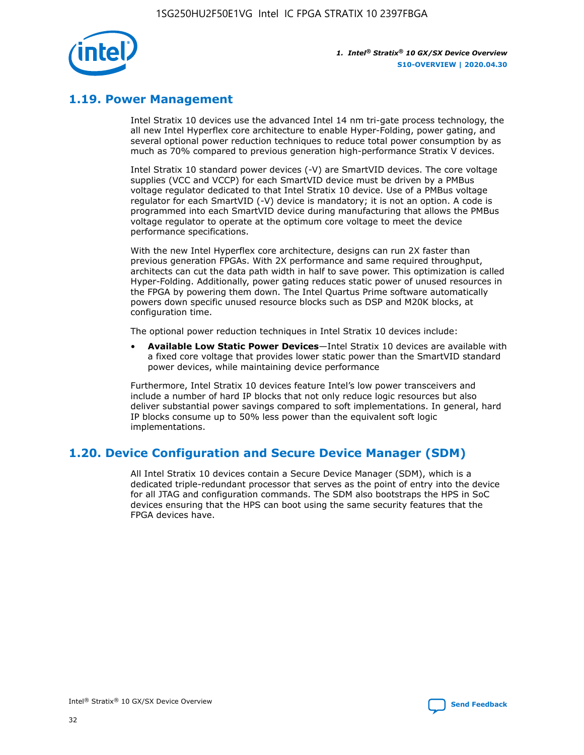

# **1.19. Power Management**

Intel Stratix 10 devices use the advanced Intel 14 nm tri-gate process technology, the all new Intel Hyperflex core architecture to enable Hyper-Folding, power gating, and several optional power reduction techniques to reduce total power consumption by as much as 70% compared to previous generation high-performance Stratix V devices.

Intel Stratix 10 standard power devices (-V) are SmartVID devices. The core voltage supplies (VCC and VCCP) for each SmartVID device must be driven by a PMBus voltage regulator dedicated to that Intel Stratix 10 device. Use of a PMBus voltage regulator for each SmartVID (-V) device is mandatory; it is not an option. A code is programmed into each SmartVID device during manufacturing that allows the PMBus voltage regulator to operate at the optimum core voltage to meet the device performance specifications.

With the new Intel Hyperflex core architecture, designs can run 2X faster than previous generation FPGAs. With 2X performance and same required throughput, architects can cut the data path width in half to save power. This optimization is called Hyper-Folding. Additionally, power gating reduces static power of unused resources in the FPGA by powering them down. The Intel Quartus Prime software automatically powers down specific unused resource blocks such as DSP and M20K blocks, at configuration time.

The optional power reduction techniques in Intel Stratix 10 devices include:

• **Available Low Static Power Devices**—Intel Stratix 10 devices are available with a fixed core voltage that provides lower static power than the SmartVID standard power devices, while maintaining device performance

Furthermore, Intel Stratix 10 devices feature Intel's low power transceivers and include a number of hard IP blocks that not only reduce logic resources but also deliver substantial power savings compared to soft implementations. In general, hard IP blocks consume up to 50% less power than the equivalent soft logic implementations.

# **1.20. Device Configuration and Secure Device Manager (SDM)**

All Intel Stratix 10 devices contain a Secure Device Manager (SDM), which is a dedicated triple-redundant processor that serves as the point of entry into the device for all JTAG and configuration commands. The SDM also bootstraps the HPS in SoC devices ensuring that the HPS can boot using the same security features that the FPGA devices have.

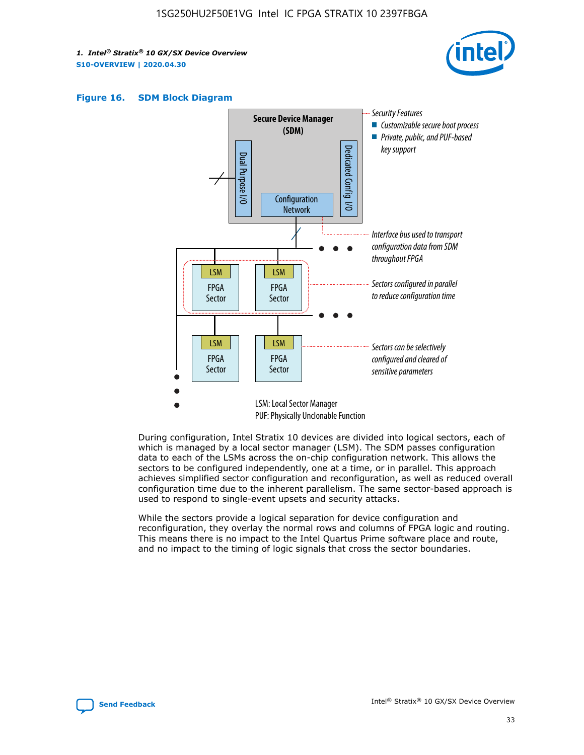





During configuration, Intel Stratix 10 devices are divided into logical sectors, each of which is managed by a local sector manager (LSM). The SDM passes configuration data to each of the LSMs across the on-chip configuration network. This allows the sectors to be configured independently, one at a time, or in parallel. This approach achieves simplified sector configuration and reconfiguration, as well as reduced overall configuration time due to the inherent parallelism. The same sector-based approach is used to respond to single-event upsets and security attacks.

While the sectors provide a logical separation for device configuration and reconfiguration, they overlay the normal rows and columns of FPGA logic and routing. This means there is no impact to the Intel Quartus Prime software place and route, and no impact to the timing of logic signals that cross the sector boundaries.

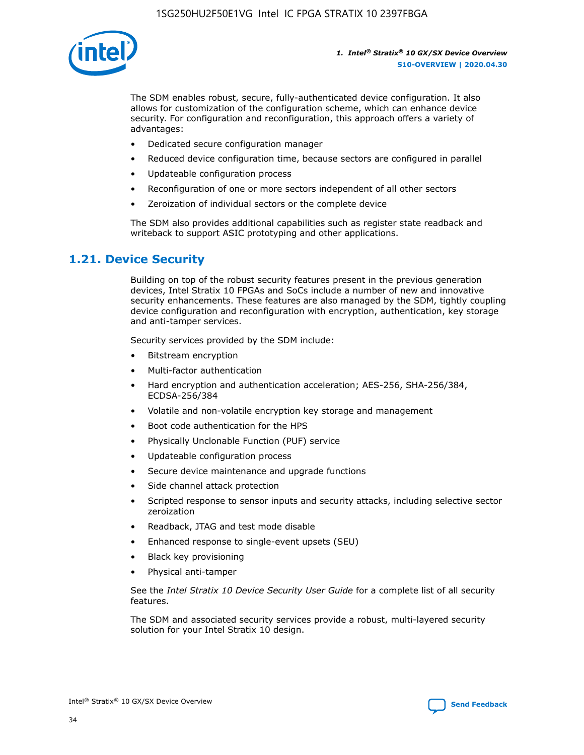

The SDM enables robust, secure, fully-authenticated device configuration. It also allows for customization of the configuration scheme, which can enhance device security. For configuration and reconfiguration, this approach offers a variety of advantages:

- Dedicated secure configuration manager
- Reduced device configuration time, because sectors are configured in parallel
- Updateable configuration process
- Reconfiguration of one or more sectors independent of all other sectors
- Zeroization of individual sectors or the complete device

The SDM also provides additional capabilities such as register state readback and writeback to support ASIC prototyping and other applications.

### **1.21. Device Security**

Building on top of the robust security features present in the previous generation devices, Intel Stratix 10 FPGAs and SoCs include a number of new and innovative security enhancements. These features are also managed by the SDM, tightly coupling device configuration and reconfiguration with encryption, authentication, key storage and anti-tamper services.

Security services provided by the SDM include:

- Bitstream encryption
- Multi-factor authentication
- Hard encryption and authentication acceleration; AES-256, SHA-256/384, ECDSA-256/384
- Volatile and non-volatile encryption key storage and management
- Boot code authentication for the HPS
- Physically Unclonable Function (PUF) service
- Updateable configuration process
- Secure device maintenance and upgrade functions
- Side channel attack protection
- Scripted response to sensor inputs and security attacks, including selective sector zeroization
- Readback, JTAG and test mode disable
- Enhanced response to single-event upsets (SEU)
- Black key provisioning
- Physical anti-tamper

See the *Intel Stratix 10 Device Security User Guide* for a complete list of all security features.

The SDM and associated security services provide a robust, multi-layered security solution for your Intel Stratix 10 design.

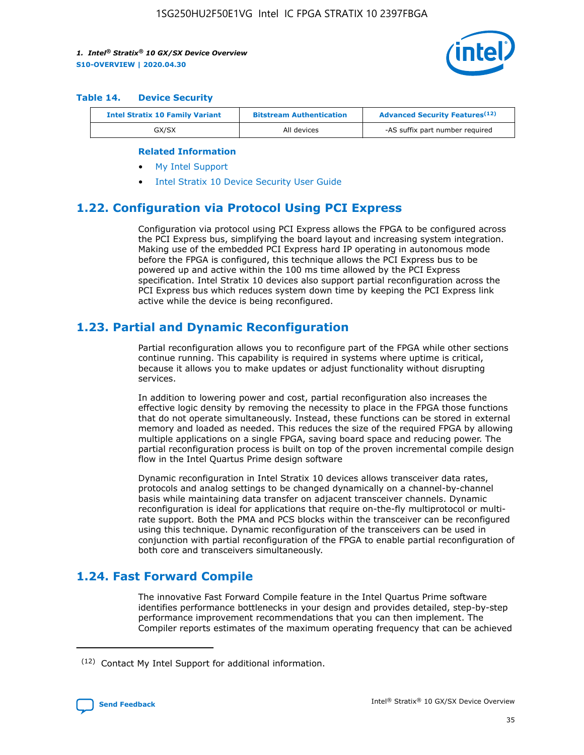

#### **Table 14. Device Security**

| <b>Intel Stratix 10 Family Variant</b> | <b>Bitstream Authentication</b> | <b>Advanced Security Features</b> <sup>(12)</sup> |  |  |
|----------------------------------------|---------------------------------|---------------------------------------------------|--|--|
| GX/SX                                  | All devices                     | -AS suffix part number required                   |  |  |

#### **Related Information**

- [My Intel Support](https://www.intel.com/content/www/us/en/programmable/my-intel/mal-home.html)
- [Intel Stratix 10 Device Security User Guide](https://www.intel.com/content/www/us/en/programmable/documentation/ndq1483601370898.html#wcd1483611014402)

# **1.22. Configuration via Protocol Using PCI Express**

Configuration via protocol using PCI Express allows the FPGA to be configured across the PCI Express bus, simplifying the board layout and increasing system integration. Making use of the embedded PCI Express hard IP operating in autonomous mode before the FPGA is configured, this technique allows the PCI Express bus to be powered up and active within the 100 ms time allowed by the PCI Express specification. Intel Stratix 10 devices also support partial reconfiguration across the PCI Express bus which reduces system down time by keeping the PCI Express link active while the device is being reconfigured.

# **1.23. Partial and Dynamic Reconfiguration**

Partial reconfiguration allows you to reconfigure part of the FPGA while other sections continue running. This capability is required in systems where uptime is critical, because it allows you to make updates or adjust functionality without disrupting services.

In addition to lowering power and cost, partial reconfiguration also increases the effective logic density by removing the necessity to place in the FPGA those functions that do not operate simultaneously. Instead, these functions can be stored in external memory and loaded as needed. This reduces the size of the required FPGA by allowing multiple applications on a single FPGA, saving board space and reducing power. The partial reconfiguration process is built on top of the proven incremental compile design flow in the Intel Quartus Prime design software

Dynamic reconfiguration in Intel Stratix 10 devices allows transceiver data rates, protocols and analog settings to be changed dynamically on a channel-by-channel basis while maintaining data transfer on adjacent transceiver channels. Dynamic reconfiguration is ideal for applications that require on-the-fly multiprotocol or multirate support. Both the PMA and PCS blocks within the transceiver can be reconfigured using this technique. Dynamic reconfiguration of the transceivers can be used in conjunction with partial reconfiguration of the FPGA to enable partial reconfiguration of both core and transceivers simultaneously.

# **1.24. Fast Forward Compile**

The innovative Fast Forward Compile feature in the Intel Quartus Prime software identifies performance bottlenecks in your design and provides detailed, step-by-step performance improvement recommendations that you can then implement. The Compiler reports estimates of the maximum operating frequency that can be achieved

<sup>(12)</sup> Contact My Intel Support for additional information.

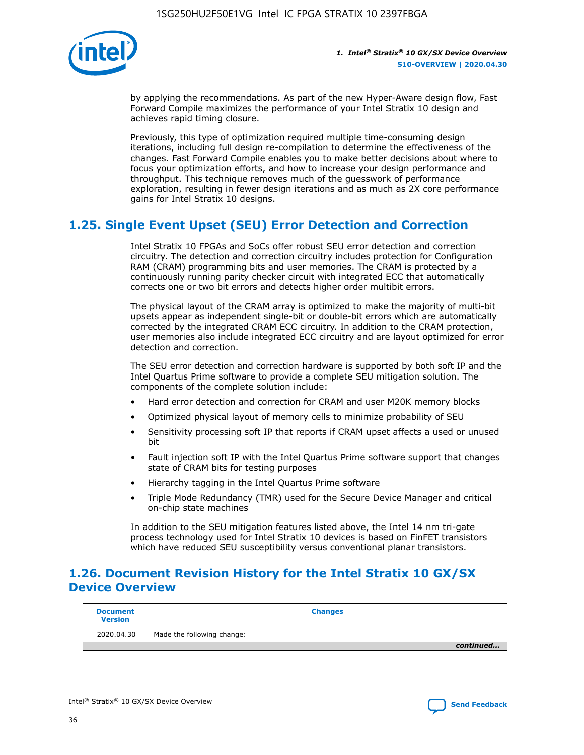

by applying the recommendations. As part of the new Hyper-Aware design flow, Fast Forward Compile maximizes the performance of your Intel Stratix 10 design and achieves rapid timing closure.

Previously, this type of optimization required multiple time-consuming design iterations, including full design re-compilation to determine the effectiveness of the changes. Fast Forward Compile enables you to make better decisions about where to focus your optimization efforts, and how to increase your design performance and throughput. This technique removes much of the guesswork of performance exploration, resulting in fewer design iterations and as much as 2X core performance gains for Intel Stratix 10 designs.

# **1.25. Single Event Upset (SEU) Error Detection and Correction**

Intel Stratix 10 FPGAs and SoCs offer robust SEU error detection and correction circuitry. The detection and correction circuitry includes protection for Configuration RAM (CRAM) programming bits and user memories. The CRAM is protected by a continuously running parity checker circuit with integrated ECC that automatically corrects one or two bit errors and detects higher order multibit errors.

The physical layout of the CRAM array is optimized to make the majority of multi-bit upsets appear as independent single-bit or double-bit errors which are automatically corrected by the integrated CRAM ECC circuitry. In addition to the CRAM protection, user memories also include integrated ECC circuitry and are layout optimized for error detection and correction.

The SEU error detection and correction hardware is supported by both soft IP and the Intel Quartus Prime software to provide a complete SEU mitigation solution. The components of the complete solution include:

- Hard error detection and correction for CRAM and user M20K memory blocks
- Optimized physical layout of memory cells to minimize probability of SEU
- Sensitivity processing soft IP that reports if CRAM upset affects a used or unused bit
- Fault injection soft IP with the Intel Quartus Prime software support that changes state of CRAM bits for testing purposes
- Hierarchy tagging in the Intel Quartus Prime software
- Triple Mode Redundancy (TMR) used for the Secure Device Manager and critical on-chip state machines

In addition to the SEU mitigation features listed above, the Intel 14 nm tri-gate process technology used for Intel Stratix 10 devices is based on FinFET transistors which have reduced SEU susceptibility versus conventional planar transistors.

# **1.26. Document Revision History for the Intel Stratix 10 GX/SX Device Overview**

| <b>Document</b><br><b>Version</b> | <b>Changes</b>             |
|-----------------------------------|----------------------------|
| 2020.04.30                        | Made the following change: |
|                                   | continued                  |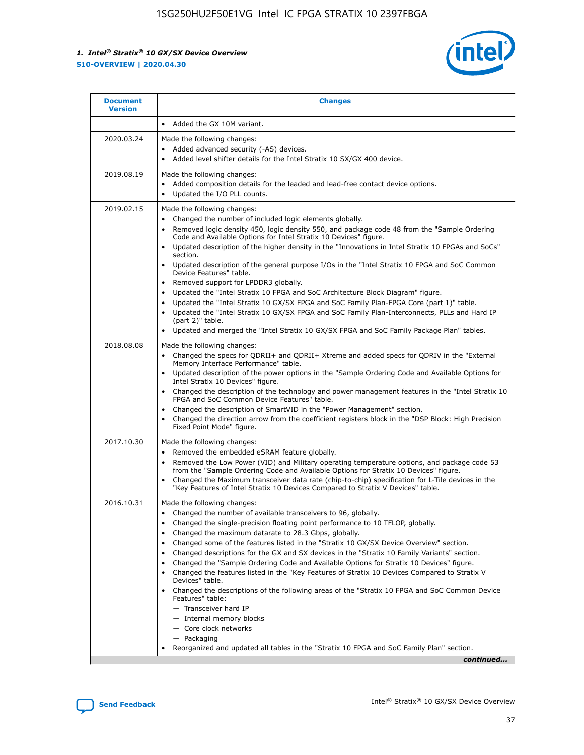

| <b>Document</b><br><b>Version</b> | <b>Changes</b>                                                                                                                                                                                                                                                                                                                                                                                                                                                                                                                                                                                                                                                                                                                                                                                                                                                                                                                                                                                              |
|-----------------------------------|-------------------------------------------------------------------------------------------------------------------------------------------------------------------------------------------------------------------------------------------------------------------------------------------------------------------------------------------------------------------------------------------------------------------------------------------------------------------------------------------------------------------------------------------------------------------------------------------------------------------------------------------------------------------------------------------------------------------------------------------------------------------------------------------------------------------------------------------------------------------------------------------------------------------------------------------------------------------------------------------------------------|
|                                   | Added the GX 10M variant.                                                                                                                                                                                                                                                                                                                                                                                                                                                                                                                                                                                                                                                                                                                                                                                                                                                                                                                                                                                   |
| 2020.03.24                        | Made the following changes:<br>Added advanced security (-AS) devices.<br>Added level shifter details for the Intel Stratix 10 SX/GX 400 device.                                                                                                                                                                                                                                                                                                                                                                                                                                                                                                                                                                                                                                                                                                                                                                                                                                                             |
| 2019.08.19                        | Made the following changes:<br>Added composition details for the leaded and lead-free contact device options.<br>$\bullet$<br>Updated the I/O PLL counts.                                                                                                                                                                                                                                                                                                                                                                                                                                                                                                                                                                                                                                                                                                                                                                                                                                                   |
| 2019.02.15                        | Made the following changes:<br>Changed the number of included logic elements globally.<br>$\bullet$<br>Removed logic density 450, logic density 550, and package code 48 from the "Sample Ordering<br>$\bullet$<br>Code and Available Options for Intel Stratix 10 Devices" figure.<br>Updated description of the higher density in the "Innovations in Intel Stratix 10 FPGAs and SoCs"<br>section.<br>Updated description of the general purpose I/Os in the "Intel Stratix 10 FPGA and SoC Common<br>$\bullet$<br>Device Features" table.<br>Removed support for LPDDR3 globally.<br>Updated the "Intel Stratix 10 FPGA and SoC Architecture Block Diagram" figure.<br>$\bullet$<br>Updated the "Intel Stratix 10 GX/SX FPGA and SoC Family Plan-FPGA Core (part 1)" table.<br>$\bullet$<br>Updated the "Intel Stratix 10 GX/SX FPGA and SoC Family Plan-Interconnects, PLLs and Hard IP<br>(part 2)" table.<br>Updated and merged the "Intel Stratix 10 GX/SX FPGA and SoC Family Package Plan" tables. |
| 2018.08.08                        | Made the following changes:<br>Changed the specs for QDRII+ and QDRII+ Xtreme and added specs for QDRIV in the "External<br>$\bullet$<br>Memory Interface Performance" table.<br>Updated description of the power options in the "Sample Ordering Code and Available Options for<br>Intel Stratix 10 Devices" figure.<br>Changed the description of the technology and power management features in the "Intel Stratix 10<br>FPGA and SoC Common Device Features" table.<br>Changed the description of SmartVID in the "Power Management" section.<br>Changed the direction arrow from the coefficient registers block in the "DSP Block: High Precision<br>٠<br>Fixed Point Mode" figure.                                                                                                                                                                                                                                                                                                                  |
| 2017.10.30                        | Made the following changes:<br>Removed the embedded eSRAM feature globally.<br>$\bullet$<br>Removed the Low Power (VID) and Military operating temperature options, and package code 53<br>٠<br>from the "Sample Ordering Code and Available Options for Stratix 10 Devices" figure.<br>Changed the Maximum transceiver data rate (chip-to-chip) specification for L-Tile devices in the<br>"Key Features of Intel Stratix 10 Devices Compared to Stratix V Devices" table.                                                                                                                                                                                                                                                                                                                                                                                                                                                                                                                                 |
| 2016.10.31                        | Made the following changes:<br>• Changed the number of available transceivers to 96, globally.<br>Changed the single-precision floating point performance to 10 TFLOP, globally.<br>Changed the maximum datarate to 28.3 Gbps, globally.<br>٠<br>Changed some of the features listed in the "Stratix 10 GX/SX Device Overview" section.<br>٠<br>Changed descriptions for the GX and SX devices in the "Stratix 10 Family Variants" section.<br>٠<br>Changed the "Sample Ordering Code and Available Options for Stratix 10 Devices" figure.<br>Changed the features listed in the "Key Features of Stratix 10 Devices Compared to Stratix V<br>Devices" table.<br>Changed the descriptions of the following areas of the "Stratix 10 FPGA and SoC Common Device<br>Features" table:<br>- Transceiver hard IP<br>- Internal memory blocks<br>- Core clock networks<br>- Packaging<br>Reorganized and updated all tables in the "Stratix 10 FPGA and SoC Family Plan" section.                                |
|                                   | continued                                                                                                                                                                                                                                                                                                                                                                                                                                                                                                                                                                                                                                                                                                                                                                                                                                                                                                                                                                                                   |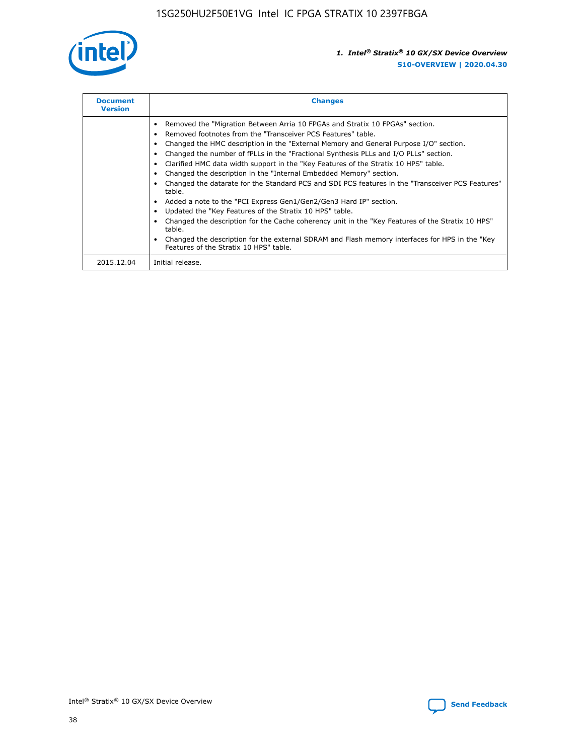

| <b>Document</b><br><b>Version</b> | <b>Changes</b>                                                                                                                                                                                                                                                                                                                                                                                                                                                                                                                                                                                                                                                                                                                                                                                                                                                                                                                                                                                     |
|-----------------------------------|----------------------------------------------------------------------------------------------------------------------------------------------------------------------------------------------------------------------------------------------------------------------------------------------------------------------------------------------------------------------------------------------------------------------------------------------------------------------------------------------------------------------------------------------------------------------------------------------------------------------------------------------------------------------------------------------------------------------------------------------------------------------------------------------------------------------------------------------------------------------------------------------------------------------------------------------------------------------------------------------------|
|                                   | Removed the "Migration Between Arria 10 FPGAs and Stratix 10 FPGAs" section.<br>Removed footnotes from the "Transceiver PCS Features" table.<br>Changed the HMC description in the "External Memory and General Purpose I/O" section.<br>Changed the number of fPLLs in the "Fractional Synthesis PLLs and I/O PLLs" section.<br>Clarified HMC data width support in the "Key Features of the Stratix 10 HPS" table.<br>Changed the description in the "Internal Embedded Memory" section.<br>Changed the datarate for the Standard PCS and SDI PCS features in the "Transceiver PCS Features"<br>table.<br>Added a note to the "PCI Express Gen1/Gen2/Gen3 Hard IP" section.<br>Updated the "Key Features of the Stratix 10 HPS" table.<br>Changed the description for the Cache coherency unit in the "Key Features of the Stratix 10 HPS"<br>table.<br>Changed the description for the external SDRAM and Flash memory interfaces for HPS in the "Key<br>Features of the Stratix 10 HPS" table. |
| 2015.12.04                        | Initial release.                                                                                                                                                                                                                                                                                                                                                                                                                                                                                                                                                                                                                                                                                                                                                                                                                                                                                                                                                                                   |